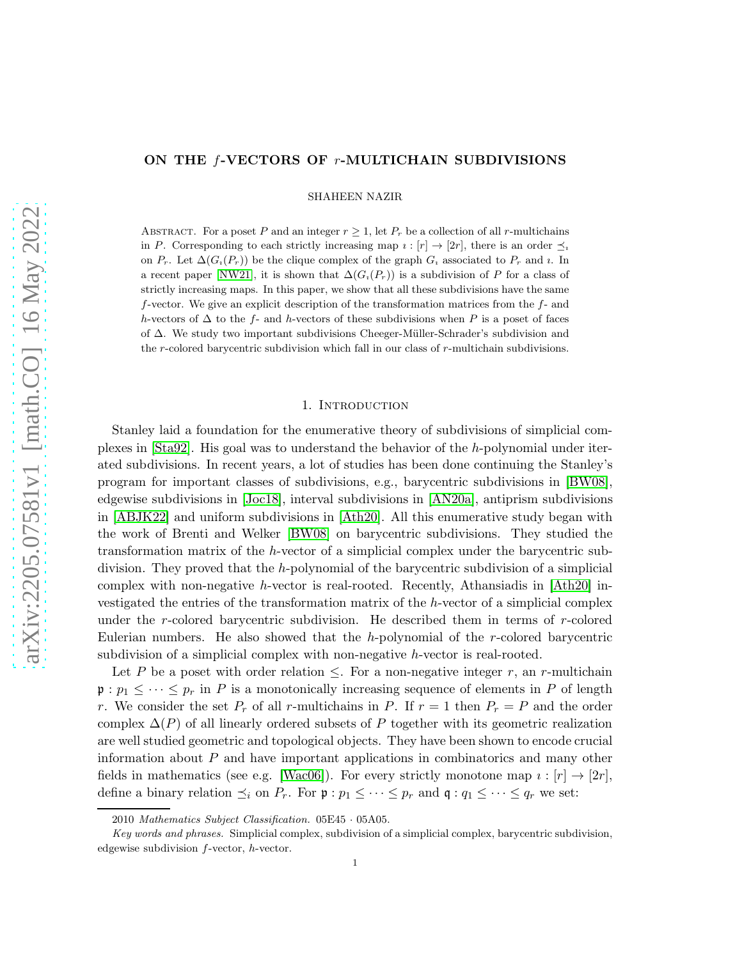# ON THE *f*-VECTORS OF *r*-MULTICHAIN SUBDIVISIONS

SHAHEEN NAZIR

ABSTRACT. For a poset P and an integer  $r \geq 1$ , let  $P_r$  be a collection of all r-multichains in P. Corresponding to each strictly increasing map  $i : [r] \to [2r]$ , there is an order  $\preceq_i$ on  $P_r$ . Let  $\Delta(G_i(P_r))$  be the clique complex of the graph  $G_i$  associated to  $P_r$  and *i*. In a recent paper [\[NW21\]](#page-18-0), it is shown that  $\Delta(G_i(P_r))$  is a subdivision of P for a class of strictly increasing maps. In this paper, we show that all these subdivisions have the same f-vector. We give an explicit description of the transformation matrices from the f- and h-vectors of  $\Delta$  to the f- and h-vectors of these subdivisions when P is a poset of faces of ∆. We study two important subdivisions Cheeger-M¨uller-Schrader's subdivision and the r-colored barycentric subdivision which fall in our class of r-multichain subdivisions.

#### 1. INTRODUCTION

Stanley laid a foundation for the enumerative theory of subdivisions of simplicial complexes in [\[Sta92\]](#page-18-1). His goal was to understand the behavior of the h-polynomial under iterated subdivisions. In recent years, a lot of studies has been done continuing the Stanley's program for important classes of subdivisions, e.g., barycentric subdivisions in [\[BW08\]](#page-18-2), edgewise subdivisions in [\[Joc18\]](#page-18-3), interval subdivisions in [\[AN20a\]](#page-17-0), antiprism subdivisions in [\[ABJK22\]](#page-17-1) and uniform subdivisions in [\[Ath20\]](#page-17-2). All this enumerative study began with the work of Brenti and Welker [\[BW08\]](#page-18-2) on barycentric subdivisions. They studied the transformation matrix of the h-vector of a simplicial complex under the barycentric subdivision. They proved that the h-polynomial of the barycentric subdivision of a simplicial complex with non-negative h-vector is real-rooted. Recently, Athansiadis in [\[Ath20\]](#page-17-2) investigated the entries of the transformation matrix of the h-vector of a simplicial complex under the  $r$ -colored barycentric subdivision. He described them in terms of  $r$ -colored Eulerian numbers. He also showed that the h-polynomial of the  $r$ -colored barycentric subdivision of a simplicial complex with non-negative h-vector is real-rooted.

Let P be a poset with order relation  $\leq$ . For a non-negative integer r, an r-multichain  $\mathfrak{p}: p_1 \leq \cdots \leq p_r$  in P is a monotonically increasing sequence of elements in P of length r. We consider the set  $P_r$  of all r-multichains in P. If  $r = 1$  then  $P_r = P$  and the order complex  $\Delta(P)$  of all linearly ordered subsets of P together with its geometric realization are well studied geometric and topological objects. They have been shown to encode crucial information about  $P$  and have important applications in combinatorics and many other fields in mathematics (see e.g. [\[Wac06\]](#page-18-4)). For every strictly monotone map  $i : [r] \rightarrow [2r]$ , define a binary relation  $\preceq_i$  on  $P_r$ . For  $\mathfrak{p} : p_1 \leq \cdots \leq p_r$  and  $\mathfrak{q} : q_1 \leq \cdots \leq q_r$  we set:

<sup>2010</sup> Mathematics Subject Classification. 05E45 · 05A05.

Key words and phrases. Simplicial complex, subdivision of a simplicial complex, barycentric subdivision, edgewise subdivision f-vector, h-vector.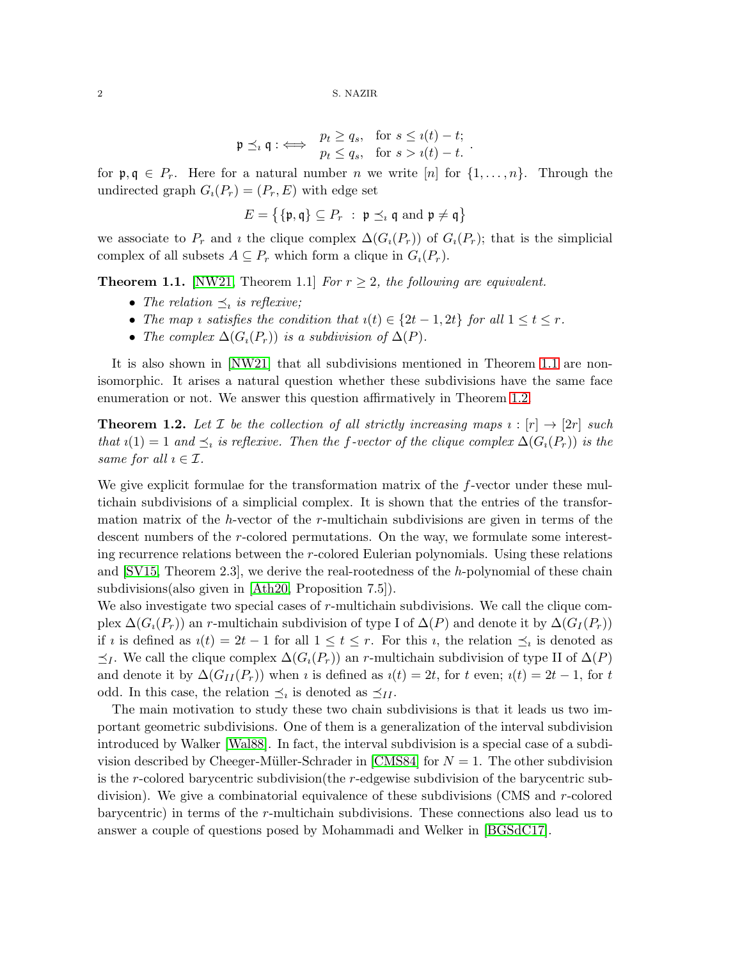$$
\mathfrak{p} \preceq_i \mathfrak{q} : \iff \begin{array}{ll} p_t \geq q_s, & \text{for } s \leq \iota(t) - t; \\ p_t \leq q_s, & \text{for } s > \iota(t) - t. \end{array}.
$$

for  $\mathfrak{p}, \mathfrak{q} \in P_r$ . Here for a natural number n we write  $[n]$  for  $\{1, \ldots, n\}$ . Through the undirected graph  $G_i(P_r) = (P_r, E)$  with edge set

$$
E = \{ \{\mathfrak{p}, \mathfrak{q} \} \subseteq P_r \; : \; \mathfrak{p} \preceq_i \mathfrak{q} \text{ and } \mathfrak{p} \neq \mathfrak{q} \}
$$

we associate to  $P_r$  and  $\imath$  the clique complex  $\Delta(G_i(P_r))$  of  $G_i(P_r)$ ; that is the simplicial complex of all subsets  $A \subseteq P_r$  which form a clique in  $G_i(P_r)$ .

<span id="page-1-0"></span>**Theorem 1.1.** [\[NW21,](#page-18-0) Theorem 1.1] *For*  $r \geq 2$ *, the following are equivalent.* 

- The relation  $\preceq_i$  is reflexive;
- The map *i* satisfies the condition that  $i(t) \in \{2t-1, 2t\}$  for all  $1 \le t \le r$ .
- *The complex*  $\Delta(G_i(P_r))$  *is a subdivision of*  $\Delta(P)$ *.*

It is also shown in [\[NW21\]](#page-18-0) that all subdivisions mentioned in Theorem [1.1](#page-1-0) are nonisomorphic. It arises a natural question whether these subdivisions have the same face enumeration or not. We answer this question affirmatively in Theorem [1.2.](#page-1-1)

<span id="page-1-1"></span>**Theorem 1.2.** Let  $\mathcal{I}$  be the collection of all strictly increasing maps  $i : [r] \rightarrow [2r]$  such *that*  $i(1) = 1$  *and*  $\leq_i$  *is reflexive. Then the f*-vector of the clique complex  $\Delta(G_i(P_r))$  *is the same for all*  $i \in \mathcal{I}$ *.* 

We give explicit formulae for the transformation matrix of the  $f$ -vector under these multichain subdivisions of a simplicial complex. It is shown that the entries of the transformation matrix of the h-vector of the  $r$ -multichain subdivisions are given in terms of the descent numbers of the r-colored permutations. On the way, we formulate some interesting recurrence relations between the r-colored Eulerian polynomials. Using these relations and [\[SV15,](#page-18-5) Theorem 2.3], we derive the real-rootedness of the h-polynomial of these chain subdivisions(also given in [\[Ath20,](#page-17-2) Proposition 7.5]).

We also investigate two special cases of  $r$ -multichain subdivisions. We call the clique complex  $\Delta(G_i(P_r))$  an r-multichain subdivision of type I of  $\Delta(P)$  and denote it by  $\Delta(G_i(P_r))$ if *i* is defined as  $i(t) = 2t - 1$  for all  $1 \le t \le r$ . For this *i*, the relation  $\preceq_i$  is denoted as  $\preceq_I$ . We call the clique complex  $\Delta(G_i(P_r))$  an r-multichain subdivision of type II of  $\Delta(P)$ and denote it by  $\Delta(G_{II}(P_r))$  when *i* is defined as  $i(t) = 2t$ , for t even;  $i(t) = 2t - 1$ , for t odd. In this case, the relation  $\preceq_i$  is denoted as  $\preceq_{II}$ .

The main motivation to study these two chain subdivisions is that it leads us two important geometric subdivisions. One of them is a generalization of the interval subdivision introduced by Walker [\[Wal88\]](#page-18-6). In fact, the interval subdivision is a special case of a subdi-vision described by Cheeger-Müller-Schrader in [\[CMS84\]](#page-18-7) for  $N = 1$ . The other subdivision is the r-colored barycentric subdivision(the r-edgewise subdivision of the barycentric subdivision). We give a combinatorial equivalence of these subdivisions (CMS and r-colored barycentric) in terms of the r-multichain subdivisions. These connections also lead us to answer a couple of questions posed by Mohammadi and Welker in [\[BGSdC17\]](#page-18-8).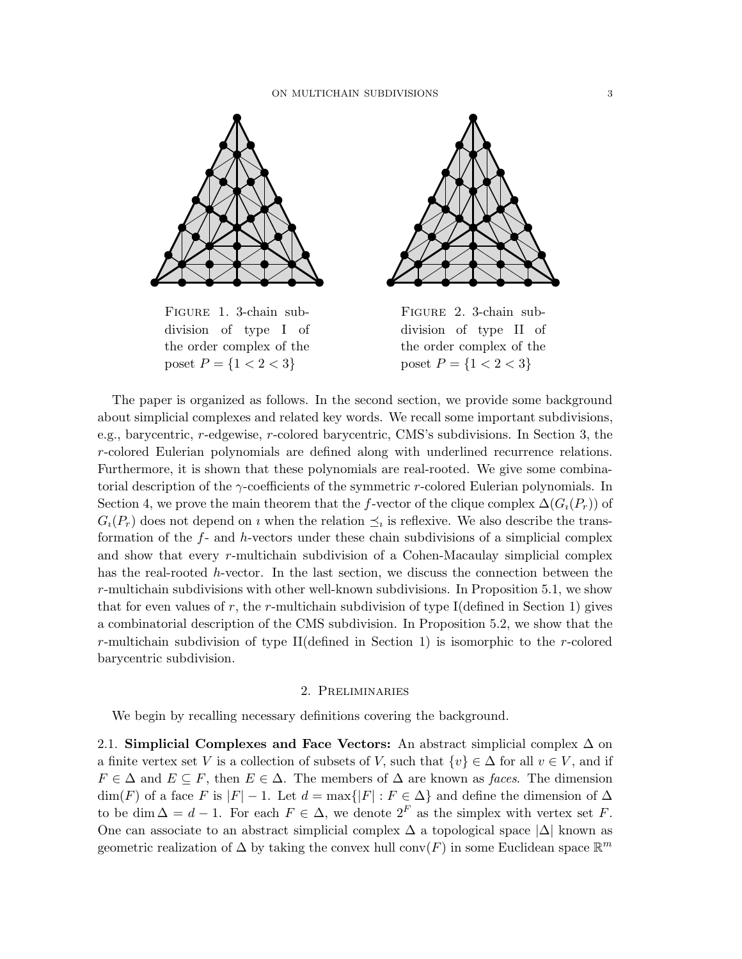

Figure 1. 3-chain subdivision of type I of the order complex of the poset  $P = \{1 < 2 < 3\}$ 



Figure 2. 3-chain subdivision of type II of the order complex of the poset  $P = \{1 < 2 < 3\}$ 

The paper is organized as follows. In the second section, we provide some background about simplicial complexes and related key words. We recall some important subdivisions, e.g., barycentric, r-edgewise, r-colored barycentric, CMS's subdivisions. In Section 3, the r-colored Eulerian polynomials are defined along with underlined recurrence relations. Furthermore, it is shown that these polynomials are real-rooted. We give some combinatorial description of the  $\gamma$ -coefficients of the symmetric r-colored Eulerian polynomials. In Section 4, we prove the main theorem that the f-vector of the clique complex  $\Delta(G_i(P_r))$  of  $G_i(P_r)$  does not depend on *i* when the relation  $\preceq_i$  is reflexive. We also describe the transformation of the  $f$ - and h-vectors under these chain subdivisions of a simplicial complex and show that every r-multichain subdivision of a Cohen-Macaulay simplicial complex has the real-rooted h-vector. In the last section, we discuss the connection between the r-multichain subdivisions with other well-known subdivisions. In Proposition 5.1, we show that for even values of r, the r-multichain subdivision of type I(defined in Section 1) gives a combinatorial description of the CMS subdivision. In Proposition 5.2, we show that the r-multichain subdivision of type II(defined in Section 1) is isomorphic to the r-colored barycentric subdivision.

#### 2. Preliminaries

We begin by recalling necessary definitions covering the background.

2.1. Simplicial Complexes and Face Vectors: An abstract simplicial complex  $\Delta$  on a finite vertex set V is a collection of subsets of V, such that  $\{v\} \in \Delta$  for all  $v \in V$ , and if  $F \in \Delta$  and  $E \subseteq F$ , then  $E \in \Delta$ . The members of  $\Delta$  are known as *faces*. The dimension  $\dim(F)$  of a face F is  $|F| - 1$ . Let  $d = \max\{|F| : F \in \Delta\}$  and define the dimension of  $\Delta$ to be dim  $\Delta = d - 1$ . For each  $F \in \Delta$ , we denote  $2^F$  as the simplex with vertex set F. One can associate to an abstract simplicial complex  $\Delta$  a topological space  $|\Delta|$  known as geometric realization of  $\Delta$  by taking the convex hull conv $(F)$  in some Euclidean space  $\mathbb{R}^m$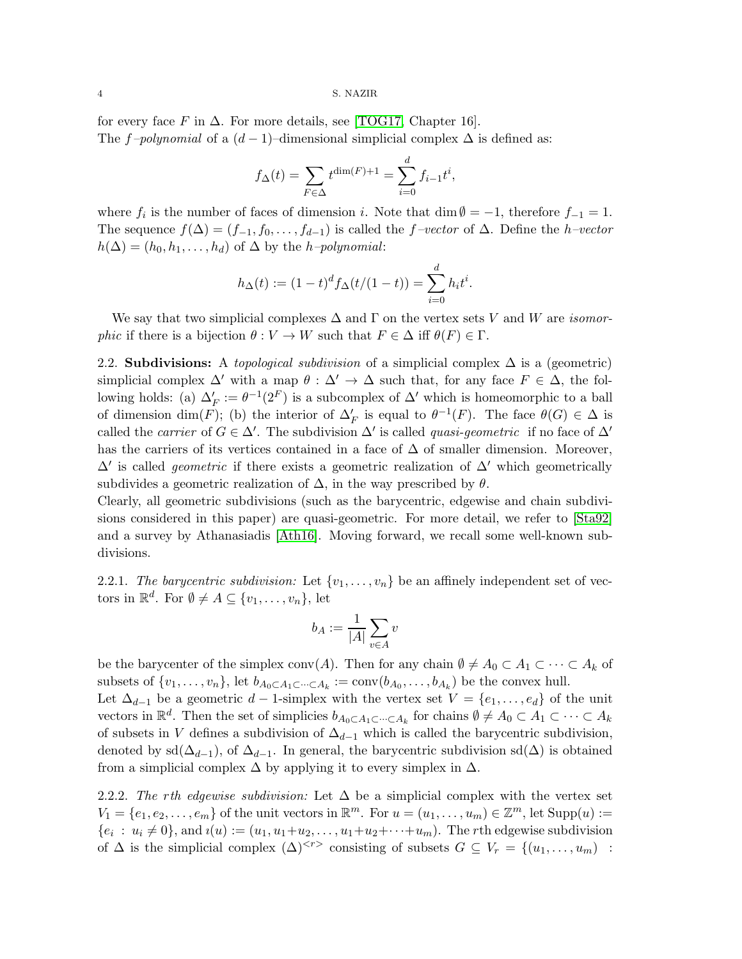for every face F in  $\Delta$ . For more details, see [\[TOG17,](#page-18-9) Chapter 16]. The f–polynomial of a  $(d-1)$ –dimensional simplicial complex  $\Delta$  is defined as:

$$
f_{\Delta}(t) = \sum_{F \in \Delta} t^{\dim(F) + 1} = \sum_{i=0}^{d} f_{i-1} t^{i},
$$

where  $f_i$  is the number of faces of dimension i. Note that  $\dim \emptyset = -1$ , therefore  $f_{-1} = 1$ . The sequence  $f(\Delta) = (f_{-1}, f_0, \ldots, f_{d-1})$  is called the f*–vector* of  $\Delta$ . Define the *h–vector*  $h(\Delta) = (h_0, h_1, \ldots, h_d)$  of  $\Delta$  by the *h–polynomial*:

$$
h_{\Delta}(t) := (1-t)^{d} f_{\Delta}(t/(1-t)) = \sum_{i=0}^{d} h_i t^i.
$$

We say that two simplicial complexes ∆ and Γ on the vertex sets V and W are *isomorphic* if there is a bijection  $\theta : V \to W$  such that  $F \in \Delta$  iff  $\theta(F) \in \Gamma$ .

2.2. Subdivisions: A *topological subdivision* of a simplicial complex ∆ is a (geometric) simplicial complex  $\Delta'$  with a map  $\theta : \Delta' \to \Delta$  such that, for any face  $F \in \Delta$ , the following holds: (a)  $\Delta'_F := \theta^{-1}(2^F)$  is a subcomplex of  $\Delta'$  which is homeomorphic to a ball of dimension  $\dim(F)$ ; (b) the interior of  $\Delta'_F$  is equal to  $\theta^{-1}(F)$ . The face  $\theta(G) \in \Delta$  is called the *carrier* of  $G \in \Delta'$ . The subdivision  $\Delta'$  is called *quasi-geometric* if no face of  $\Delta'$ has the carriers of its vertices contained in a face of  $\Delta$  of smaller dimension. Moreover, ∆′ is called *geometric* if there exists a geometric realization of ∆′ which geometrically subdivides a geometric realization of  $\Delta$ , in the way prescribed by  $\theta$ .

Clearly, all geometric subdivisions (such as the barycentric, edgewise and chain subdivisions considered in this paper) are quasi-geometric. For more detail, we refer to [\[Sta92\]](#page-18-1) and a survey by Athanasiadis [\[Ath16\]](#page-17-3). Moving forward, we recall some well-known subdivisions.

2.2.1. *The barycentric subdivision:* Let  $\{v_1, \ldots, v_n\}$  be an affinely independent set of vectors in  $\mathbb{R}^d$ . For  $\emptyset \neq A \subseteq \{v_1, \ldots, v_n\}$ , let

$$
b_A:=\frac{1}{|A|}\sum_{v\in A}v
$$

be the barycenter of the simplex conv(A). Then for any chain  $\emptyset \neq A_0 \subset A_1 \subset \cdots \subset A_k$  of subsets of  $\{v_1, \ldots, v_n\}$ , let  $b_{A_0 \subset A_1 \subset \cdots \subset A_k} := \text{conv}(b_{A_0}, \ldots, b_{A_k})$  be the convex hull.

Let  $\Delta_{d-1}$  be a geometric  $d-1$ -simplex with the vertex set  $V = \{e_1, \ldots, e_d\}$  of the unit vectors in  $\mathbb{R}^d$ . Then the set of simplicies  $b_{A_0 \subset A_1 \subset \cdots \subset A_k}$  for chains  $\emptyset \neq A_0 \subset A_1 \subset \cdots \subset A_k$ of subsets in V defines a subdivision of  $\Delta_{d-1}$  which is called the barycentric subdivision, denoted by sd( $\Delta_{d-1}$ ), of  $\Delta_{d-1}$ . In general, the barycentric subdivision sd( $\Delta$ ) is obtained from a simplicial complex  $\Delta$  by applying it to every simplex in  $\Delta$ .

2.2.2. *The* r*th edgewise subdivision:* Let ∆ be a simplicial complex with the vertex set  $V_1 = \{e_1, e_2, \dots, e_m\}$  of the unit vectors in  $\mathbb{R}^m$ . For  $u = (u_1, \dots, u_m) \in \mathbb{Z}^m$ , let  $\text{Supp}(u) :=$  $\{e_i : u_i \neq 0\}$ , and  $i(u) := (u_1, u_1 + u_2, \dots, u_1 + u_2 + \dots + u_m)$ . The *r*th edgewise subdivision of  $\Delta$  is the simplicial complex  $(\Delta)^{< r}$  consisting of subsets  $G \subseteq V_r = \{(u_1, \ldots, u_m)$ :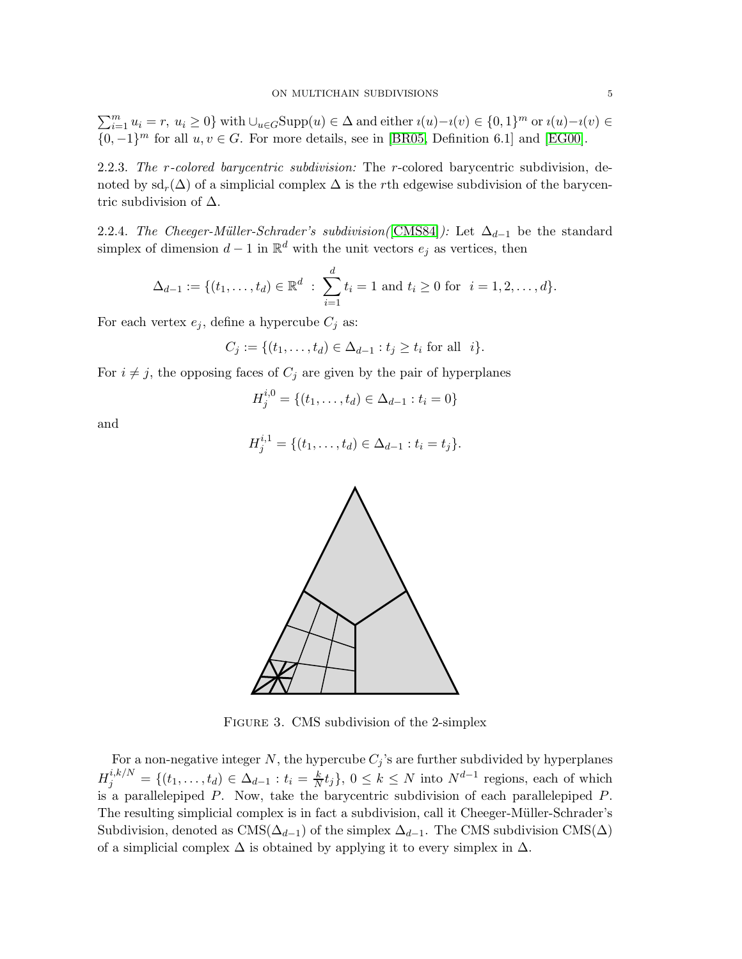$\sum_{i=1}^{m} u_i = r$ ,  $u_i \ge 0$ } with  $\cup_{u \in G}$ Supp $(u) \in \Delta$  and either  $i(u) - i(v) \in \{0, 1\}^m$  or  $i(u) - i(v) \in \Delta$  $\{0, -1\}^m$  for all  $u, v \in G$ . For more details, see in [\[BR05,](#page-18-10) Definition 6.1] and [\[EG00\]](#page-18-11).

2.2.3. *The* r*-colored barycentric subdivision:* The r-colored barycentric subdivision, denoted by  $sd_r(\Delta)$  of a simplicial complex  $\Delta$  is the rth edgewise subdivision of the barycentric subdivision of  $\Delta$ .

<span id="page-4-0"></span>2.2.4. *The Cheeger-Müller-Schrader's subdivision*([\[CMS84\]](#page-18-7)): Let  $\Delta_{d-1}$  be the standard simplex of dimension  $d-1$  in  $\mathbb{R}^d$  with the unit vectors  $e_j$  as vertices, then

$$
\Delta_{d-1} := \{ (t_1, \ldots, t_d) \in \mathbb{R}^d : \sum_{i=1}^d t_i = 1 \text{ and } t_i \ge 0 \text{ for } i = 1, 2, \ldots, d \}.
$$

For each vertex  $e_j$ , define a hypercube  $C_j$  as:

$$
C_j := \{(t_1, ..., t_d) \in \Delta_{d-1} : t_j \ge t_i \text{ for all } i\}.
$$

For  $i \neq j$ , the opposing faces of  $C_j$  are given by the pair of hyperplanes

$$
H_j^{i,0} = \{(t_1,\ldots,t_d) \in \Delta_{d-1} : t_i = 0\}
$$

and

$$
H_j^{i,1} = \{(t_1,\ldots,t_d) \in \Delta_{d-1} : t_i = t_j\}.
$$



Figure 3. CMS subdivision of the 2-simplex

For a non-negative integer N, the hypercube  $C_j$ 's are further subdivided by hyperplanes  $H_j^{i,k/N} = \{(t_1,\ldots,t_d) \in \Delta_{d-1} : t_i = \frac{k}{N}t_j\}, 0 \leq k \leq N$  into  $N^{d-1}$  regions, each of which is a parallelepiped  $P$ . Now, take the barycentric subdivision of each parallelepiped  $P$ . The resulting simplicial complex is in fact a subdivision, call it Cheeger-Müller-Schrader's Subdivision, denoted as  $\text{CMS}(\Delta_{d-1})$  of the simplex  $\Delta_{d-1}$ . The CMS subdivision CMS( $\Delta$ ) of a simplicial complex  $\Delta$  is obtained by applying it to every simplex in  $\Delta$ .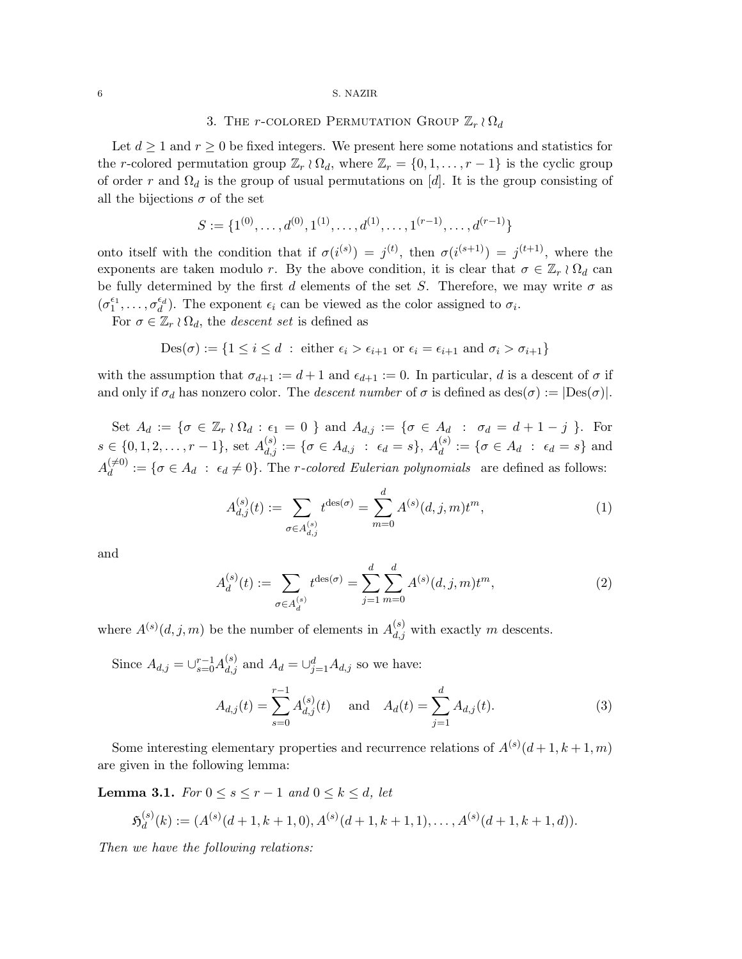# 3. THE *r*-COLORED PERMUTATION GROUP  $\mathbb{Z}_r \wr \Omega_d$

Let  $d \geq 1$  and  $r \geq 0$  be fixed integers. We present here some notations and statistics for the r-colored permutation group  $\mathbb{Z}_r \wr \Omega_d$ , where  $\mathbb{Z}_r = \{0, 1, \ldots, r-1\}$  is the cyclic group of order r and  $\Omega_d$  is the group of usual permutations on [d]. It is the group consisting of all the bijections  $\sigma$  of the set

$$
S := \{1^{(0)}, \dots, d^{(0)}, 1^{(1)}, \dots, d^{(1)}, \dots, 1^{(r-1)}, \dots, d^{(r-1)}\}
$$

onto itself with the condition that if  $\sigma(i^{(s)}) = j^{(t)}$ , then  $\sigma(i^{(s+1)}) = j^{(t+1)}$ , where the exponents are taken modulo r. By the above condition, it is clear that  $\sigma \in \mathbb{Z}_r \wr \Omega_d$  can be fully determined by the first d elements of the set S. Therefore, we may write  $\sigma$  as  $(\sigma_1^{\epsilon_1}, \ldots, \sigma_d^{\epsilon_d})$ . The exponent  $\epsilon_i$  can be viewed as the color assigned to  $\sigma_i$ .

For  $\sigma \in \mathbb{Z}_r \wr \Omega_d$ , the *descent set* is defined as

$$
Des(\sigma) := \{ 1 \le i \le d : either \epsilon_i > \epsilon_{i+1} \text{ or } \epsilon_i = \epsilon_{i+1} \text{ and } \sigma_i > \sigma_{i+1} \}
$$

with the assumption that  $\sigma_{d+1} := d+1$  and  $\epsilon_{d+1} := 0$ . In particular, d is a descent of  $\sigma$  if and only if  $\sigma_d$  has nonzero color. The *descent number* of  $\sigma$  is defined as  $\text{des}(\sigma) := |\text{Des}(\sigma)|$ .

Set  $A_d := \{ \sigma \in \mathbb{Z}_r \wr \Omega_d : \epsilon_1 = 0 \}$  and  $A_{d,j} := \{ \sigma \in A_d : \sigma_d = d + 1 - j \}$ . For  $s \in \{0, 1, 2, \ldots, r - 1\}, \text{ set } A_{d,j}^{(s)} := \{\sigma \in A_{d,j} \ : \ \epsilon_d = s\}, \ A_d^{(s)}$  $d_d^{(s)} := \{ \sigma \in A_d \; : \; \epsilon_d = s \}$  and  $A_d^{(\neq 0)}$  $d_d^{(0)} := \{ \sigma \in A_d : \epsilon_d \neq 0 \}.$  The *r*-colored Eulerian polynomials are defined as follows:

$$
A_{d,j}^{(s)}(t) := \sum_{\sigma \in A_{d,j}^{(s)}} t^{\text{des}(\sigma)} = \sum_{m=0}^{d} A^{(s)}(d, j, m) t^m,
$$
\n(1)

and

$$
A_d^{(s)}(t) := \sum_{\sigma \in A_d^{(s)}} t^{\text{des}(\sigma)} = \sum_{j=1}^d \sum_{m=0}^d A^{(s)}(d, j, m) t^m,
$$
\n(2)

where  $A^{(s)}(d, j, m)$  be the number of elements in  $A_{d,j}^{(s)}$  with exactly m descents.

Since  $A_{d,j} = \bigcup_{s=0}^{r-1} A_{d,j}^{(s)}$  and  $A_d = \bigcup_{j=1}^{d} A_{d,j}$  so we have:  $A_{d,j}(t) = \sum_{r=1}^{r-1}$  $s=0$  $A_{d,j}^{(s)}(t)$  and  $A_d(t) = \sum$ d  $j=1$  $A_{d,j}(t)$ . (3)

Some interesting elementary properties and recurrence relations of  $A^{(s)}(d+1, k+1, m)$ are given in the following lemma:

<span id="page-5-0"></span>**Lemma 3.1.** *For*  $0 \le s \le r - 1$  *and*  $0 \le k \le d$ *, let* 

$$
\mathfrak{H}_d^{(s)}(k) := (A^{(s)}(d+1,k+1,0), A^{(s)}(d+1,k+1,1), \ldots, A^{(s)}(d+1,k+1,d)).
$$

*Then we have the following relations:*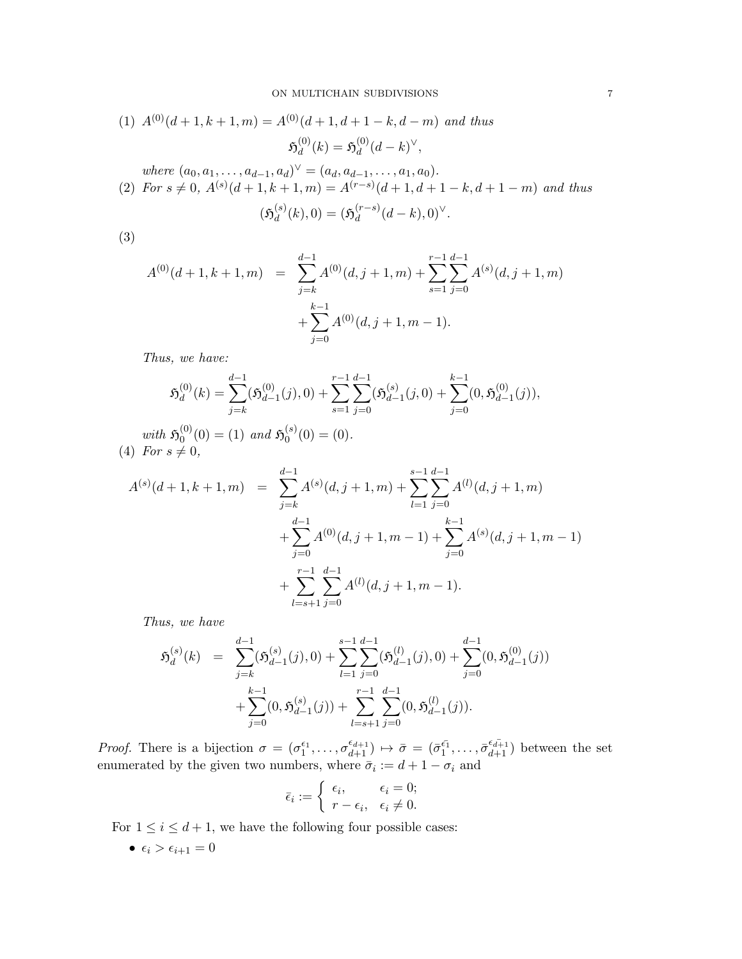(1) 
$$
A^{(0)}(d+1, k+1, m) = A^{(0)}(d+1, d+1-k, d-m)
$$
 and thus  
\n
$$
\mathfrak{H}_d^{(0)}(k) = \mathfrak{H}_d^{(0)}(d-k)^\vee,
$$
\nwhere  $(a_0, a_1, \dots, a_{d-1}, a_d)^\vee = (a_d, a_{d-1}, \dots, a_1, a_0).$   
\n(2) For  $s \neq 0$ ,  $A^{(s)}(d+1, k+1, m) = A^{(r-s)}(d+1, d+1-k, d+1-m)$  and thus

$$
(\mathfrak{H}_d^{(s)}(k),0) = (\mathfrak{H}_d^{(r-s)}(d-k),0)^{\vee}.
$$

(3)

$$
A^{(0)}(d+1, k+1, m) = \sum_{j=k}^{d-1} A^{(0)}(d, j+1, m) + \sum_{s=1}^{r-1} \sum_{j=0}^{d-1} A^{(s)}(d, j+1, m) + \sum_{j=0}^{k-1} A^{(0)}(d, j+1, m-1).
$$

*Thus, we have:*

$$
\mathfrak{H}_d^{(0)}(k)=\sum_{j=k}^{d-1}(\mathfrak{H}_{d-1}^{(0)}(j),0)+\sum_{s=1}^{r-1}\sum_{j=0}^{d-1}(\mathfrak{H}_{d-1}^{(s)}(j,0)+\sum_{j=0}^{k-1}(0,\mathfrak{H}_{d-1}^{(0)}(j)),
$$

*with*  $\mathfrak{H}_0^{(0)}$  $\mathfrak{h}_0^{(0)}(0) = (1)$  and  $\mathfrak{H}_0^{(s)}$  $\binom{S}{0}(0) = (0).$  $(4)$  *For*  $s \neq 0$ *,* 

$$
A^{(s)}(d+1, k+1, m) = \sum_{j=k}^{d-1} A^{(s)}(d, j+1, m) + \sum_{l=1}^{s-1} \sum_{j=0}^{d-1} A^{(l)}(d, j+1, m)
$$
  
+ 
$$
\sum_{j=0}^{d-1} A^{(0)}(d, j+1, m-1) + \sum_{j=0}^{k-1} A^{(s)}(d, j+1, m-1)
$$
  
+ 
$$
\sum_{l=s+1}^{r-1} \sum_{j=0}^{d-1} A^{(l)}(d, j+1, m-1).
$$

*Thus, we have*

$$
\mathfrak{H}_d^{(s)}(k) = \sum_{j=k}^{d-1} (\mathfrak{H}_{d-1}^{(s)}(j), 0) + \sum_{l=1}^{s-1} \sum_{j=0}^{d-1} (\mathfrak{H}_{d-1}^{(l)}(j), 0) + \sum_{j=0}^{d-1} (0, \mathfrak{H}_{d-1}^{(0)}(j)) + \sum_{j=0}^{k-1} (0, \mathfrak{H}_{d-1}^{(s)}(j)) + \sum_{l=s+1}^{r-1} \sum_{j=0}^{d-1} (0, \mathfrak{H}_{d-1}^{(l)}(j)).
$$

*Proof.* There is a bijection  $\sigma = (\sigma_1^{\epsilon_1}, \ldots, \sigma_{d+1}^{\epsilon_{d+1}}) \mapsto \bar{\sigma} = (\bar{\sigma}_1^{\bar{\epsilon_1}}, \ldots, \bar{\sigma}_{d+1}^{\epsilon_{d+1}})$  between the set enumerated by the given two numbers, where  $\bar{\sigma}_i := d + 1 - \sigma_i$  and

$$
\bar{\epsilon}_i := \begin{cases} \epsilon_i, & \epsilon_i = 0; \\ r - \epsilon_i, & \epsilon_i \neq 0. \end{cases}
$$

For  $1 \leq i \leq d+1$ , we have the following four possible cases:

•  $\epsilon_i > \epsilon_{i+1} = 0$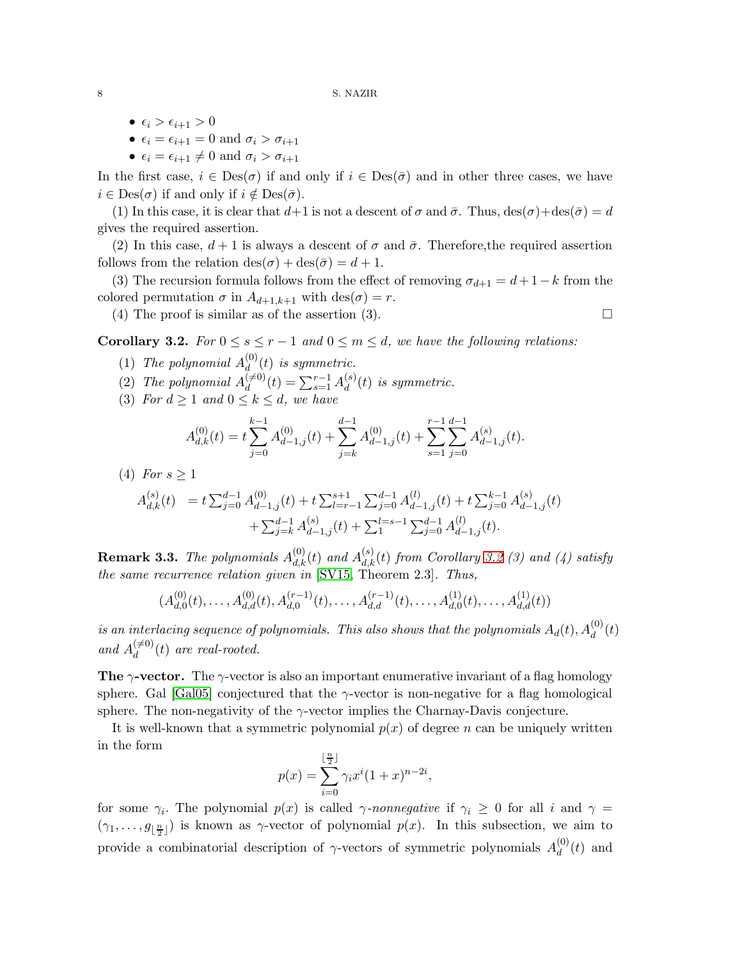- $\epsilon_i > \epsilon_{i+1} > 0$
- $\epsilon_i = \epsilon_{i+1} = 0$  and  $\sigma_i > \sigma_{i+1}$
- $\epsilon_i = \epsilon_{i+1} \neq 0$  and  $\sigma_i > \sigma_{i+1}$

In the first case,  $i \in Des(\sigma)$  if and only if  $i \in Des(\bar{\sigma})$  and in other three cases, we have  $i \in \text{Des}(\sigma)$  if and only if  $i \notin \text{Des}(\bar{\sigma})$ .

(1) In this case, it is clear that  $d+1$  is not a descent of  $\sigma$  and  $\bar{\sigma}$ . Thus,  $\text{des}(\sigma) + \text{des}(\bar{\sigma}) = d$ gives the required assertion.

(2) In this case,  $d+1$  is always a descent of  $\sigma$  and  $\bar{\sigma}$ . Therefore, the required assertion follows from the relation  $\text{des}(\sigma) + \text{des}(\bar{\sigma}) = d + 1$ .

(3) The recursion formula follows from the effect of removing  $\sigma_{d+1} = d+1-k$  from the colored permutation  $\sigma$  in  $A_{d+1,k+1}$  with  $\text{des}(\sigma) = r$ .

(4) The proof is similar as of the assertion (3).  $\Box$ 

<span id="page-7-0"></span>**Corollary 3.2.** *For*  $0 \le s \le r - 1$  *and*  $0 \le m \le d$ *, we have the following relations:* 

- (1) *The polynomial*  $A_d^{(0)}$  $d_{d}^{(0)}(t)$  *is symmetric.*
- (2) The polynomial  $A_d^{(\neq 0)}$  $\binom{(\neq0)}{d}(t) = \sum_{s=1}^{r-1} A_d^{(s)}$  $d^{(s)}_d(t)$  *is symmetric.*
- (3) *For*  $d \geq 1$  *and*  $0 \leq k \leq d$ *, we have*

$$
A_{d,k}^{(0)}(t) = t \sum_{j=0}^{k-1} A_{d-1,j}^{(0)}(t) + \sum_{j=k}^{d-1} A_{d-1,j}^{(0)}(t) + \sum_{s=1}^{r-1} \sum_{j=0}^{d-1} A_{d-1,j}^{(s)}(t).
$$

(4) *For*  $s > 1$ 

$$
\begin{array}{ll} A_{d,k}^{(s)}(t) & = t \sum_{j=0}^{d-1} A_{d-1,j}^{(0)}(t) + t \sum_{l=r-1}^{s+1} \sum_{j=0}^{d-1} A_{d-1,j}^{(l)}(t) + t \sum_{j=0}^{k-1} A_{d-1,j}^{(s)}(t) \\ & & + \sum_{j=k}^{d-1} A_{d-1,j}^{(s)}(t) + \sum_{1}^{l=s-1} \sum_{j=0}^{d-1} A_{d-1,j}^{(l)}(t). \end{array}
$$

**Remark 3.3.** The polynomials  $A_{d,k}^{(0)}(t)$  and  $A_{d,k}^{(s)}(t)$  from Corollary [3.2](#page-7-0) (3) and (4) satisfy *the same recurrence relation given in* [\[SV15,](#page-18-5) Theorem 2.3]*. Thus,*

$$
(A_{d,0}^{(0)}(t),\ldots,A_{d,d}^{(0)}(t),A_{d,0}^{(r-1)}(t),\ldots,A_{d,d}^{(r-1)}(t),\ldots,A_{d,0}^{(1)}(t),\ldots,A_{d,d}^{(1)}(t))
$$

*is an interlacing sequence of polynomials. This also shows that the polynomials*  $A_d(t)$ ,  $A_d^{(0)}(t)$ and  $A_d^{(\neq 0)}$  $\binom{(+0)}{d}(t)$  are real-rooted.

**The γ-vector.** The γ-vector is also an important enumerative invariant of a flag homology sphere. Gal [\[Gal05\]](#page-18-12) conjectured that the  $\gamma$ -vector is non-negative for a flag homological sphere. The non-negativity of the  $\gamma$ -vector implies the Charnay-Davis conjecture.

It is well-known that a symmetric polynomial  $p(x)$  of degree n can be uniquely written in the form

$$
p(x) = \sum_{i=0}^{\lfloor \frac{n}{2} \rfloor} \gamma_i x^i (1+x)^{n-2i},
$$

for some  $\gamma_i$ . The polynomial  $p(x)$  is called  $\gamma$ -nonnegative if  $\gamma_i \geq 0$  for all i and  $\gamma =$  $(\gamma_1, \ldots, g_{\lfloor \frac{n}{2} \rfloor})$  is known as  $\gamma$ -vector of polynomial  $p(x)$ . In this subsection, we aim to provide a combinatorial description of  $\gamma$ -vectors of symmetric polynomials  $A_d^{(0)}$  $\binom{0}{d}(t)$  and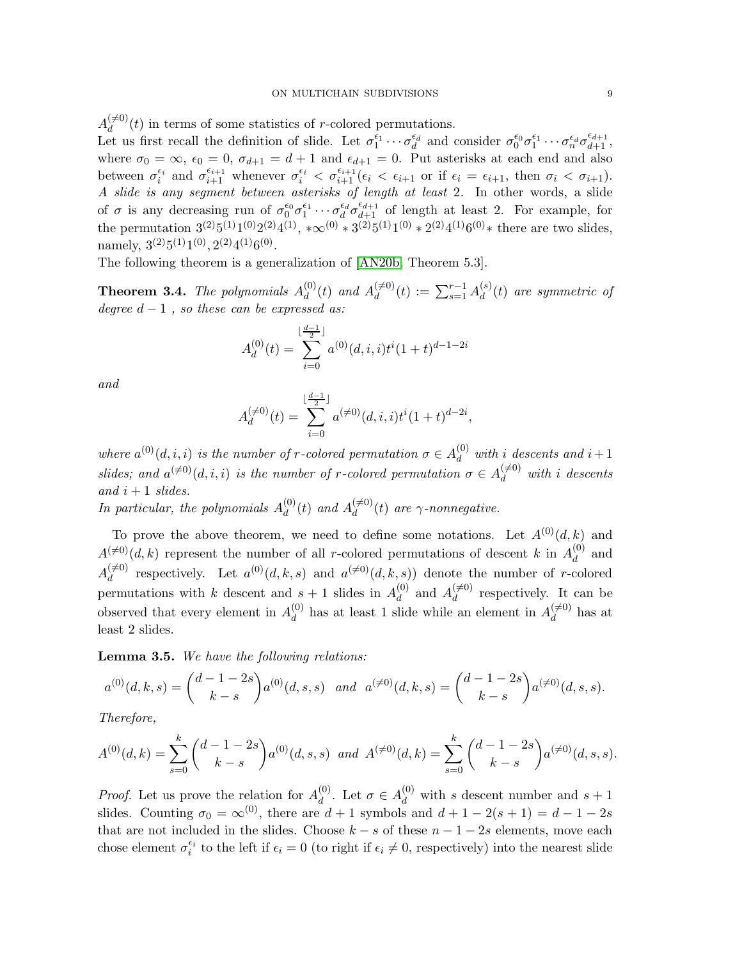$A_d^{(\neq 0)}$  $\frac{d^{(0)}(t)}{dt}$  in terms of some statistics of r-colored permutations.

Let us first recall the definition of slide. Let  $\sigma_1^{\epsilon_1} \cdots \sigma_d^{\epsilon_d}$  and consider  $\sigma_0^{\epsilon_0} \sigma_1^{\epsilon_1} \cdots \sigma_n^{\epsilon_d} \sigma_{d+1}^{\epsilon_{d+1}}$ , where  $\sigma_0 = \infty$ ,  $\epsilon_0 = 0$ ,  $\sigma_{d+1} = d+1$  and  $\epsilon_{d+1} = 0$ . Put asterisks at each end and also between  $\sigma_i^{\epsilon_i}$  and  $\sigma_{i+1}^{\epsilon_{i+1}}$  whenever  $\sigma_i^{\epsilon_i} < \sigma_{i+1}^{\epsilon_{i+1}}(\epsilon_i < \epsilon_{i+1}$  or if  $\epsilon_i = \epsilon_{i+1}$ , then  $\sigma_i < \sigma_{i+1}$ ). *A slide is any segment between asterisks of length at least* 2*.* In other words, a slide of  $\sigma$  is any decreasing run of  $\sigma_0^{\epsilon_0} \sigma_1^{\epsilon_1} \cdots \sigma_d^{\epsilon_d} \sigma_{d+1}^{\epsilon_{d+1}}$  of length at least 2. For example, for the permutation  $3^{(2)}5^{(1)}1^{(0)}2^{(2)}4^{(1)}$ ,  $*\infty^{(0)} * 3^{(2)}5^{(1)}1^{(0)} * 2^{(2)}4^{(1)}6^{(0)} *$  there are two slides, namely,  $3^{(2)}5^{(1)}1^{(0)}, 2^{(2)}4^{(1)}6^{(0)}$ .

The following theorem is a generalization of [\[AN20b,](#page-17-4) Theorem 5.3].

<span id="page-8-0"></span>**Theorem 3.4.** The polynomials  $A_d^{(0)}$  $\binom{0}{d}(t)$  and  $A_d^{(\neq 0)}$  $\mathcal{A}_{d}^{(\neq 0)}(t) \,:=\, \sum_{s=1}^{r-1} A_{d}^{(s)}$  $d_{d}^{(s)}(t)$  are symmetric of *degree* d − 1 *, so these can be expressed as:*

$$
A_d^{(0)}(t) = \sum_{i=0}^{\lfloor \frac{d-1}{2} \rfloor} a^{(0)}(d,i,i)t^i(1+t)^{d-1-2i}
$$

*and*

$$
A_d^{(\neq 0)}(t) = \sum_{i=0}^{\lfloor \frac{d-1}{2} \rfloor} a^{(\neq 0)}(d,i,i)t^i (1+t)^{d-2i},
$$

where  $a^{(0)}(d, i, i)$  *is the number of r-colored permutation*  $\sigma \in A_d^{(0)}$  *with i descents and*  $i + 1$ *slides;* and  $a^{(\neq 0)}(d, i, i)$  *is the number of r-colored permutation*  $\sigma \in A_d^{(\neq 0)}$  with *i* descents  $and$   $i + 1$  *slides*.

In particular, the polynomials  $A_d^{(0)}$  $d_{d}^{(0)}(t)$  and  $A_{d}^{(\neq 0)}$  $\int_{d}^{(+0)}(t)$  are  $\gamma$ -nonnegative.

To prove the above theorem, we need to define some notations. Let  $A^{(0)}(d, k)$  and  $A^{(\neq 0)}(d, k)$  represent the number of all r-colored permutations of descent k in  $A_d^{(0)}$  $\frac{d}{d}$  and  $A_d^{(\neq 0)}$  $d_d^{(\neq 0)}$  respectively. Let  $a^{(0)}(d, k, s)$  and  $a^{(\neq 0)}(d, k, s)$  denote the number of r-colored permutations with k descent and  $s + 1$  slides in  $A_d^{(0)}$  $d \atop d$  and  $A_d^{(\neq 0)}$  $\frac{d^{(0)}(t)}{dt}$  respectively. It can be observed that every element in  $A_d^{(0)}$  $d_d^{(0)}$  has at least 1 slide while an element in  $A_d^{(\neq 0)}$  $\int_{d}^{(+0)}$  has at least 2 slides.

Lemma 3.5. *We have the following relations:*

$$
a^{(0)}(d,k,s) = {d-1-2s \choose k-s} a^{(0)}(d,s,s) \quad and \quad a^{(\neq 0)}(d,k,s) = {d-1-2s \choose k-s} a^{(\neq 0)}(d,s,s).
$$

*Therefore,*

$$
A^{(0)}(d,k) = \sum_{s=0}^{k} {d-1-2s \choose k-s} a^{(0)}(d,s,s) \text{ and } A^{(\neq 0)}(d,k) = \sum_{s=0}^{k} {d-1-2s \choose k-s} a^{(\neq 0)}(d,s,s).
$$

*Proof.* Let us prove the relation for  $A_d^{(0)}$ <sup>(0)</sup>. Let  $\sigma \in A_d^{(0)}$  with s descent number and  $s + 1$ slides. Counting  $\sigma_0 = \infty^{(0)}$ , there are  $d+1$  symbols and  $d+1-2(s+1) = d-1-2s$ that are not included in the slides. Choose  $k - s$  of these  $n - 1 - 2s$  elements, move each chose element  $\sigma_i^{\epsilon_i}$  to the left if  $\epsilon_i = 0$  (to right if  $\epsilon_i \neq 0$ , respectively) into the nearest slide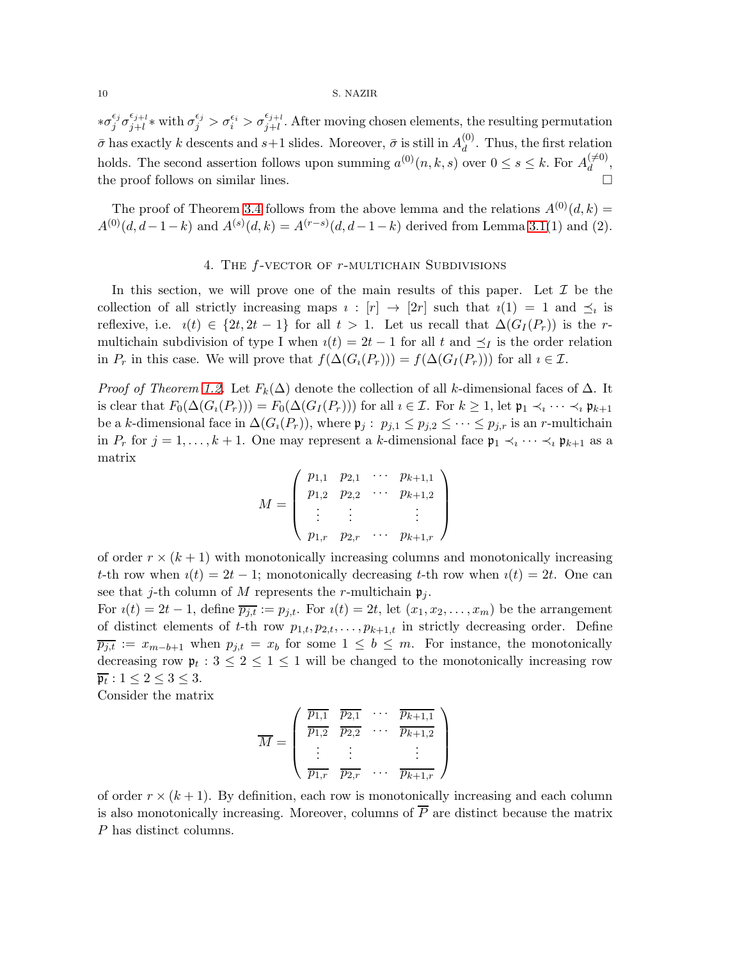$*\sigma_i^{\epsilon_j}$  $\frac{\epsilon_j}{j}\sigma_{j+l}^{\epsilon_{j+l}}$  $\frac{\epsilon_{j+l}}{j+l}$ \* with  $\sigma_j^{\epsilon_j} > \sigma_i^{\epsilon_i} > \sigma_{j+l}^{\epsilon_{j+l}}$  $j+l$ . After moving chosen elements, the resulting permutation  $\bar{\sigma}$  has exactly k descents and  $s+1$  slides. Moreover,  $\bar{\sigma}$  is still in  $A_d^{(0)}$  $\frac{d^{(0)}}{d}$ . Thus, the first relation holds. The second assertion follows upon summing  $a^{(0)}(n, k, s)$  over  $0 \le s \le k$ . For  $A_d^{(\neq 0)}$  $\mathcal{L}^{\left( +\mathbf{0}\right) }$ , the proof follows on similar lines.

The proof of Theorem [3.4](#page-8-0) follows from the above lemma and the relations  $A^{(0)}(d, k)$  =  $A^{(0)}(d, d-1-k)$  and  $A^{(s)}(d, k) = A^{(r-s)}(d, d-1-k)$  derived from Lemma [3.1\(](#page-5-0)1) and (2).

## 4. THE  $f$ -VECTOR OF  $r$ -MULTICHAIN SUBDIVISIONS

In this section, we will prove one of the main results of this paper. Let  $\mathcal I$  be the collection of all strictly increasing maps  $i : [r] \rightarrow [2r]$  such that  $i(1) = 1$  and  $\preceq_i$  is reflexive, i.e.  $i(t) \in \{2t, 2t-1\}$  for all  $t > 1$ . Let us recall that  $\Delta(G_I(P_r))$  is the rmultichain subdivision of type I when  $i(t) = 2t - 1$  for all t and  $\preceq_I$  is the order relation in  $P_r$  in this case. We will prove that  $f(\Delta(G_i(P_r))) = f(\Delta(G_i(P_r)))$  for all  $i \in \mathcal{I}$ .

*Proof of Theorem [1.2.](#page-1-1)* Let  $F_k(\Delta)$  denote the collection of all k-dimensional faces of  $\Delta$ . It is clear that  $F_0(\Delta(G_i(P_r))) = F_0(\Delta(G_I(P_r)))$  for all  $i \in \mathcal{I}$ . For  $k \geq 1$ , let  $\mathfrak{p}_1 \prec_i \cdots \prec_i \mathfrak{p}_{k+1}$ be a k-dimensional face in  $\Delta(G_i(P_r))$ , where  $\mathfrak{p}_j : p_{j,1} \leq p_{j,2} \leq \cdots \leq p_{j,r}$  is an r-multichain in  $P_r$  for  $j = 1, \ldots, k + 1$ . One may represent a k-dimensional face  $\mathfrak{p}_1 \prec_i \cdots \prec_i \mathfrak{p}_{k+1}$  as a matrix

$$
M = \left(\begin{array}{cccc} p_{1,1} & p_{2,1} & \cdots & p_{k+1,1} \\ p_{1,2} & p_{2,2} & \cdots & p_{k+1,2} \\ \vdots & \vdots & & \vdots \\ p_{1,r} & p_{2,r} & \cdots & p_{k+1,r} \end{array}\right)
$$

of order  $r \times (k + 1)$  with monotonically increasing columns and monotonically increasing t-th row when  $i(t) = 2t - 1$ ; monotonically decreasing t-th row when  $i(t) = 2t$ . One can see that j-th column of M represents the r-multichain  $\mathfrak{p}_j$ .

For  $i(t) = 2t - 1$ , define  $\overline{p_{j,t}} := p_{j,t}$ . For  $i(t) = 2t$ , let  $(x_1, x_2, \ldots, x_m)$  be the arrangement of distinct elements of t-th row  $p_{1,t}, p_{2,t}, \ldots, p_{k+1,t}$  in strictly decreasing order. Define  $\overline{p_{j,t}} := x_{m-b+1}$  when  $p_{j,t} = x_b$  for some  $1 \leq b \leq m$ . For instance, the monotonically decreasing row  $\mathfrak{p}_t : 3 \leq 2 \leq 1 \leq 1$  will be changed to the monotonically increasing row  $\overline{\mathfrak{p}_t}$ :  $1 \leq 2 \leq 3 \leq 3$ .

Consider the matrix

$$
\overline{M} = \left( \begin{array}{cccc} \overline{p_{1,1}} & \overline{p_{2,1}} & \cdots & \overline{p_{k+1,1}} \\ \overline{p_{1,2}} & \overline{p_{2,2}} & \cdots & \overline{p_{k+1,2}} \\ \vdots & \vdots & & \vdots \\ \overline{p_{1,r}} & \overline{p_{2,r}} & \cdots & \overline{p_{k+1,r}} \end{array} \right)
$$

of order  $r \times (k+1)$ . By definition, each row is monotonically increasing and each column is also monotonically increasing. Moreover, columns of  $\overline{P}$  are distinct because the matrix P has distinct columns.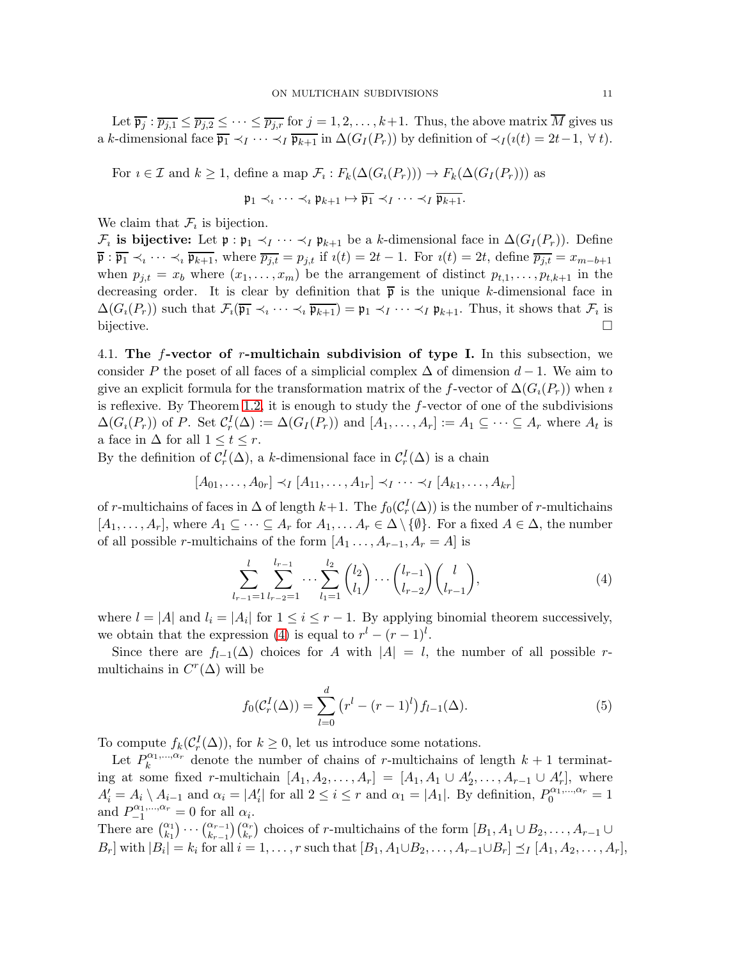Let  $\overline{p_j}$ :  $\overline{p_{j,1}} \leq \overline{p_{j,2}} \leq \cdots \leq \overline{p_{j,r}}$  for  $j = 1, 2, \ldots, k+1$ . Thus, the above matrix  $\overline{M}$  gives us a k-dimensional face  $\overline{\mathfrak{p}_1} \prec_I \cdots \prec_I \overline{\mathfrak{p}_{k+1}}$  in  $\Delta(G_I(P_r))$  by definition of  $\prec_I (\imath(t) = 2t-1, \forall t)$ .

For  $i \in \mathcal{I}$  and  $k \geq 1$ , define a map  $\mathcal{F}_i : F_k(\Delta(G_i(P_r))) \to F_k(\Delta(G_I(P_r)))$  as  $\mathfrak{p}_1 \prec_i \cdots \prec_i \mathfrak{p}_{k+1} \mapsto \overline{\mathfrak{p}_1} \prec_I \cdots \prec_I \overline{\mathfrak{p}_{k+1}}.$ 

We claim that  $\mathcal{F}_i$  is bijection.

 $\mathcal{F}_i$  is bijective: Let  $\mathfrak{p}: \mathfrak{p}_1 \prec_I \cdots \prec_I \mathfrak{p}_{k+1}$  be a k-dimensional face in  $\Delta(G_I(P_r))$ . Define  $\overline{\mathfrak{p}} : \overline{\mathfrak{p}_1} \prec_i \cdots \prec_i \overline{\mathfrak{p}_{k+1}}$ , where  $\overline{p_{j,t}} = p_{j,t}$  if  $i(t) = 2t - 1$ . For  $i(t) = 2t$ , define  $\overline{p_{j,t}} = x_{m-b+1}$ when  $p_{j,t} = x_b$  where  $(x_1, \ldots, x_m)$  be the arrangement of distinct  $p_{t,1}, \ldots, p_{t,k+1}$  in the decreasing order. It is clear by definition that  $\bar{p}$  is the unique k-dimensional face in  $\Delta(G_i(P_r))$  such that  $\mathcal{F}_i(\overline{\mathfrak{p}_1} \prec_i \cdots \prec_i \overline{\mathfrak{p}_{k+1}}) = \mathfrak{p}_1 \prec_I \cdots \prec_I \mathfrak{p}_{k+1}$ . Thus, it shows that  $\mathcal{F}_i$  is bijective.

4.1. The  $f$ -vector of r-multichain subdivision of type I. In this subsection, we consider P the poset of all faces of a simplicial complex  $\Delta$  of dimension  $d-1$ . We aim to give an explicit formula for the transformation matrix of the f-vector of  $\Delta(G_i(P_r))$  when *i* is reflexive. By Theorem [1.2,](#page-1-1) it is enough to study the  $f$ -vector of one of the subdivisions  $\Delta(G_i(P_r))$  of P. Set  $C_r^I(\Delta) := \Delta(G_I(P_r))$  and  $[A_1, \ldots, A_r] := A_1 \subseteq \cdots \subseteq A_r$  where  $A_t$  is a face in  $\Delta$  for all  $1 \leq t \leq r$ .

By the definition of  $C_r^I(\Delta)$ , a k-dimensional face in  $C_r^I(\Delta)$  is a chain

$$
[A_{01},\ldots,A_{0r}]\prec_I [A_{11},\ldots,A_{1r}]\prec_I\cdots\prec_I [A_{k1},\ldots,A_{kr}]
$$

of r-multichains of faces in  $\Delta$  of length  $k+1$ . The  $f_0(\mathcal{C}_r^I(\Delta))$  is the number of r-multichains  $[A_1, \ldots, A_r]$ , where  $A_1 \subseteq \cdots \subseteq A_r$  for  $A_1, \ldots, A_r \in \Delta \setminus \{\emptyset\}$ . For a fixed  $A \in \Delta$ , the number of all possible r-multichains of the form  $[A_1 \ldots, A_{r-1}, A_r = A]$  is

<span id="page-10-0"></span>
$$
\sum_{l_{r-1}=1}^{l} \sum_{l_{r-2}=1}^{l_{r-1}} \cdots \sum_{l_1=1}^{l_2} {l_2 \choose l_1} \cdots {l_{r-1} \choose l_{r-2}} {l \choose l_{r-1}},
$$
\n(4)

where  $l = |A|$  and  $l_i = |A_i|$  for  $1 \leq i \leq r-1$ . By applying binomial theorem successively, we obtain that the expression [\(4\)](#page-10-0) is equal to  $r^{l} - (r-1)^{l}$ .

Since there are  $f_{l-1}(\Delta)$  choices for A with  $|A| = l$ , the number of all possible rmultichains in  $C<sup>r</sup>(\Delta)$  will be

$$
f_0(\mathcal{C}_r^I(\Delta)) = \sum_{l=0}^d (r^l - (r-1)^l) f_{l-1}(\Delta).
$$
 (5)

To compute  $f_k(\mathcal{C}_r^I(\Delta))$ , for  $k \geq 0$ , let us introduce some notations.

Let  $P_k^{\alpha_1,\dots,\alpha_r}$  $\alpha_1, \ldots, \alpha_r$  denote the number of chains of r-multichains of length  $k+1$  terminating at some fixed r-multichain  $[A_1, A_2, \ldots, A_r] = [A_1, A_1 \cup A'_2, \ldots, A_{r-1} \cup A'_r]$ , where  $A'_i = A_i \setminus A_{i-1}$  and  $\alpha_i = |A'_i|$  for all  $2 \leq i \leq r$  and  $\alpha_1 = |A_1|$ . By definition,  $P_0^{\alpha_1,\dots,\alpha_r} = 1$ and  $P_{-1}^{\alpha_1,\dots,\alpha_r}=0$  for all  $\alpha_i$ . There are  $\binom{\alpha_1}{k_1}\cdots\binom{\alpha_{r-1}}{k_{r-1}}\binom{\alpha_r}{k_r}$  choices of r-multichains of the form  $[B_1, A_1\cup B_2, \ldots, A_{r-1}\cup$ 

 $B_r$  with  $|B_i| = k_i$  for all  $i = 1, \ldots, r$  such that  $[B_1, A_1 \cup B_2, \ldots, A_{r-1} \cup B_r] \preceq_I [A_1, A_2, \ldots, A_r]$ ,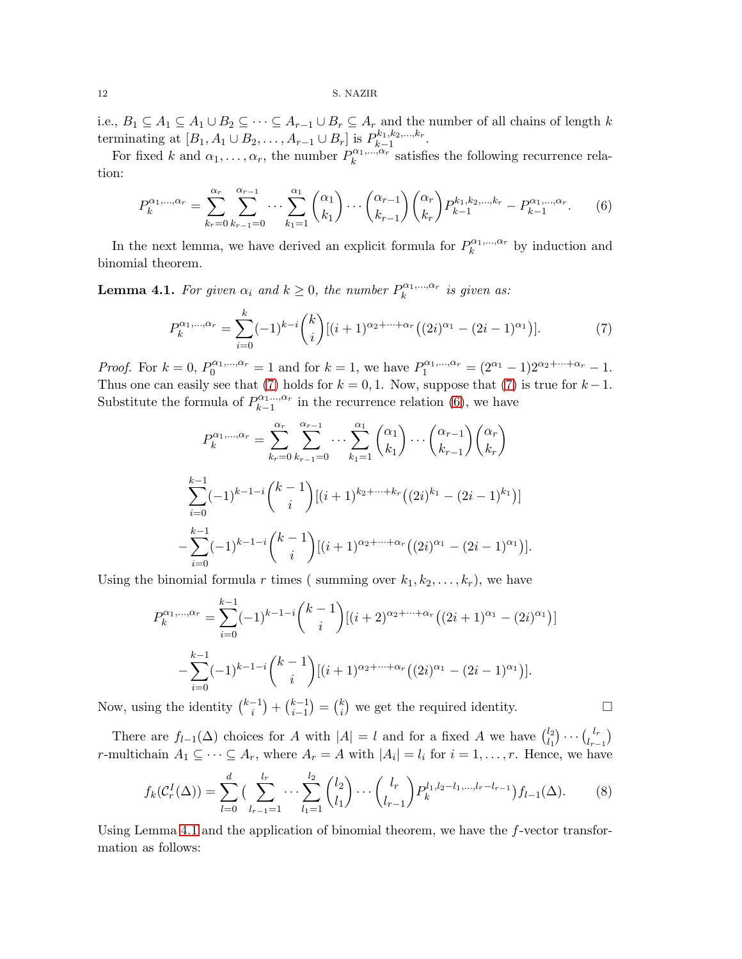i.e.,  $B_1 \subseteq A_1 \subseteq A_1 \cup B_2 \subseteq \cdots \subseteq A_{r-1} \cup B_r \subseteq A_r$  and the number of all chains of length k terminating at  $[B_1, A_1 \cup B_2, \ldots, A_{r-1} \cup B_r]$  is  $P_{k-1}^{k_1, k_2, \ldots, k_r}$  $k+1}^{\kappa_1,\kappa_2,\ldots,\kappa_r}$ .

For fixed k and  $\alpha_1, \ldots, \alpha_r$ , the number  $P_k^{\alpha_1, \ldots, \alpha_r}$  $\kappa^{a_1,\ldots,a_r}$  satisfies the following recurrence relation:

<span id="page-11-1"></span>
$$
P_k^{\alpha_1,\dots,\alpha_r} = \sum_{k_r=0}^{\alpha_r} \sum_{k_{r-1}=0}^{\alpha_{r-1}} \cdots \sum_{k_1=1}^{\alpha_1} \binom{\alpha_1}{k_1} \cdots \binom{\alpha_{r-1}}{k_{r-1}} \binom{\alpha_r}{k_r} P_{k-1}^{k_1,k_2,\dots,k_r} - P_{k-1}^{\alpha_1,\dots,\alpha_r}.
$$
 (6)

In the next lemma, we have derived an explicit formula for  $P_k^{\alpha_1,...,\alpha_r}$  $\kappa^{(\alpha_1,\ldots,\alpha_r)}$  by induction and binomial theorem.

<span id="page-11-2"></span>**Lemma 4.1.** For given  $\alpha_i$  and  $k \geq 0$ , the number  $P_k^{\alpha_1,...,\alpha_r}$  $\hat{h}^{\alpha_1,...,\alpha_r}_k$  is given as:

<span id="page-11-0"></span>
$$
P_k^{\alpha_1,\dots,\alpha_r} = \sum_{i=0}^k (-1)^{k-i} \binom{k}{i} [(i+1)^{\alpha_2+\dots+\alpha_r} ((2i)^{\alpha_1} - (2i-1)^{\alpha_1})].\tag{7}
$$

*Proof.* For  $k = 0$ ,  $P_0^{\alpha_1,...,\alpha_r} = 1$  and for  $k = 1$ , we have  $P_1^{\alpha_1,...,\alpha_r} = (2^{\alpha_1} - 1)2^{\alpha_2 + \dots + \alpha_r} - 1$ . Thus one can easily see that [\(7\)](#page-11-0) holds for  $k = 0, 1$ . Now, suppose that (7) is true for  $k - 1$ . Substitute the formula of  $P_{k-1}^{\alpha_1\dots,\alpha_r}$  $\sum_{k=1}^{\alpha_1 \ldots, \alpha_r}$  in the recurrence relation [\(6\)](#page-11-1), we have

$$
P_k^{\alpha_1,\dots,\alpha_r} = \sum_{k_r=0}^{\alpha_r} \sum_{k_{r-1}=0}^{\alpha_{r-1}} \cdots \sum_{k_1=1}^{\alpha_1} { \alpha_1 \choose k_1} \cdots { \alpha_{r-1} \choose k_{r-1}} { \alpha_r \choose k_r}
$$
  

$$
\sum_{i=0}^{k-1} (-1)^{k-1-i} {k-1 \choose i} [(i+1)^{k_2+\cdots+k_r} ((2i)^{k_1} - (2i-1)^{k_1})]
$$
  

$$
-\sum_{i=0}^{k-1} (-1)^{k-1-i} {k-1 \choose i} [(i+1)^{\alpha_2+\cdots+\alpha_r} ((2i)^{\alpha_1} - (2i-1)^{\alpha_1})].
$$

Using the binomial formula r times (summing over  $k_1, k_2, \ldots, k_r$ ), we have

$$
P_k^{\alpha_1,\dots,\alpha_r} = \sum_{i=0}^{k-1} (-1)^{k-1-i} {k-1 \choose i} [(i+2)^{\alpha_2+\dots+\alpha_r} ((2i+1)^{\alpha_1} - (2i)^{\alpha_1})]
$$

$$
-\sum_{i=0}^{k-1} (-1)^{k-1-i} {k-1 \choose i} [(i+1)^{\alpha_2+\dots+\alpha_r} ((2i)^{\alpha_1} - (2i-1)^{\alpha_1})].
$$

Now, using the identity  $\binom{k-1}{i}$  $\binom{-1}{i} + \binom{k-1}{i-1}$  $\binom{k-1}{i-1} = \binom{k}{i}$  $\binom{k}{i}$  we get the required identity.

There are  $f_{l-1}(\Delta)$  choices for A with  $|A|=l$  and for a fixed A we have  $\binom{l_2}{l_1}$  $\binom{l_2}{l_1}\cdots\binom{l_r}{l_r}$  $l_{r-1}^{l_r}\big)$ r-multichain  $A_1 \subseteq \cdots \subseteq A_r$ , where  $A_r = A$  with  $|A_i| = l_i$  for  $i = 1, \ldots, r$ . Hence, we have

$$
f_k(C_r^I(\Delta)) = \sum_{l=0}^d \left( \sum_{l_{r-1}=1}^{l_r} \cdots \sum_{l_1=1}^{l_2} {l_2 \choose l_1} \cdots {l_r \choose l_{r-1}} P_k^{l_1, l_2 - l_1, \dots, l_r - l_{r-1}} \right) f_{l-1}(\Delta). \tag{8}
$$

Using Lemma [4.1](#page-11-2) and the application of binomial theorem, we have the  $f$ -vector transformation as follows: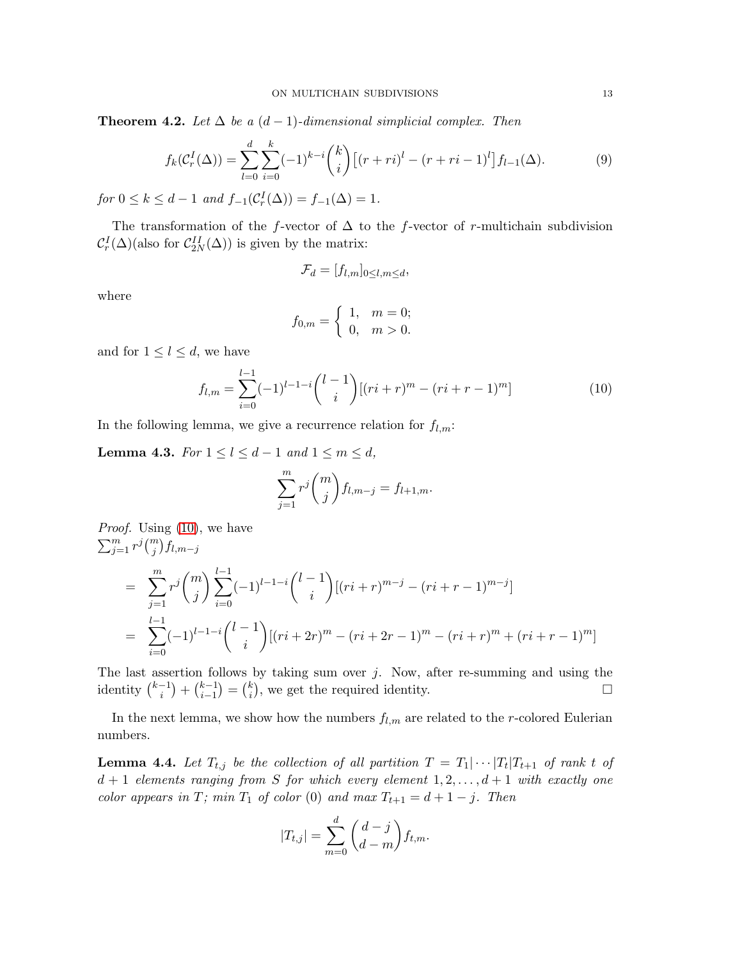**Theorem 4.2.** *Let*  $\Delta$  *be a*  $(d-1)$ *-dimensional simplicial complex. Then* 

$$
f_k(\mathcal{C}_r^I(\Delta)) = \sum_{l=0}^d \sum_{i=0}^k (-1)^{k-i} {k \choose i} \left[ (r+ri)^l - (r+ri-1)^l \right] f_{l-1}(\Delta). \tag{9}
$$

 $for 0 \le k \le d - 1 \text{ and } f_{-1}(\mathcal{C}_r^I(\Delta)) = f_{-1}(\Delta) = 1.$ 

The transformation of the f-vector of  $\Delta$  to the f-vector of r-multichain subdivision  $\mathcal{C}_r^I(\Delta)$ (also for  $\mathcal{C}_{2N}^{II}(\Delta)$ ) is given by the matrix:

$$
\mathcal{F}_d = [f_{l,m}]_{0 \le l,m \le d},
$$

where

$$
f_{0,m} = \begin{cases} 1, & m = 0; \\ 0, & m > 0. \end{cases}
$$

and for  $1 \leq l \leq d$ , we have

<span id="page-12-0"></span>
$$
f_{l,m} = \sum_{i=0}^{l-1} (-1)^{l-1-i} \binom{l-1}{i} [(ri+r)^m - (ri+r-1)^m]
$$
 (10)

In the following lemma, we give a recurrence relation for  $f_{l,m}$ :

<span id="page-12-1"></span>**Lemma 4.3.** *For*  $1 \le l \le d - 1$  *and*  $1 \le m \le d$ *,* 

$$
\sum_{j=1}^{m} r^j \binom{m}{j} f_{l,m-j} = f_{l+1,m}.
$$

*Proof.* Using [\(10\)](#page-12-0), we have  $\sum_{j=1}^{m} r^j {m \choose j} f_{l,m-j}$ 

$$
= \sum_{j=1}^{m} r^{j} {m \choose j} \sum_{i=0}^{l-1} (-1)^{l-1-i} {l-1 \choose i} [(ri+r)^{m-j} - (ri+r-1)^{m-j}]
$$
  

$$
= \sum_{i=0}^{l-1} (-1)^{l-1-i} {l-1 \choose i} [(ri+2r)^{m} - (ri+2r-1)^{m} - (ri+r)^{m} + (ri+r-1)^{m}]
$$

The last assertion follows by taking sum over  $j$ . Now, after re-summing and using the identity  $\binom{k-1}{i}$  $\binom{-1}{i} + \binom{k-1}{i-1}$  $\binom{k-1}{i-1} = \binom{k}{i}$  $\binom{k}{i}$ , we get the required identity.

In the next lemma, we show how the numbers  $f_{l,m}$  are related to the r-colored Eulerian numbers.

<span id="page-12-2"></span>**Lemma 4.4.** Let  $T_{t,j}$  be the collection of all partition  $T = T_1 | \cdots | T_t | T_{t+1}$  of rank t of  $d+1$  *elements ranging from* S *for which every element*  $1, 2, ..., d+1$  *with exactly one color appears in*  $T$ *; min*  $T_1$  *of color* (0) *and max*  $T_{t+1} = d + 1 - j$ *. Then* 

$$
|T_{t,j}| = \sum_{m=0}^d \binom{d-j}{d-m} f_{t,m}.
$$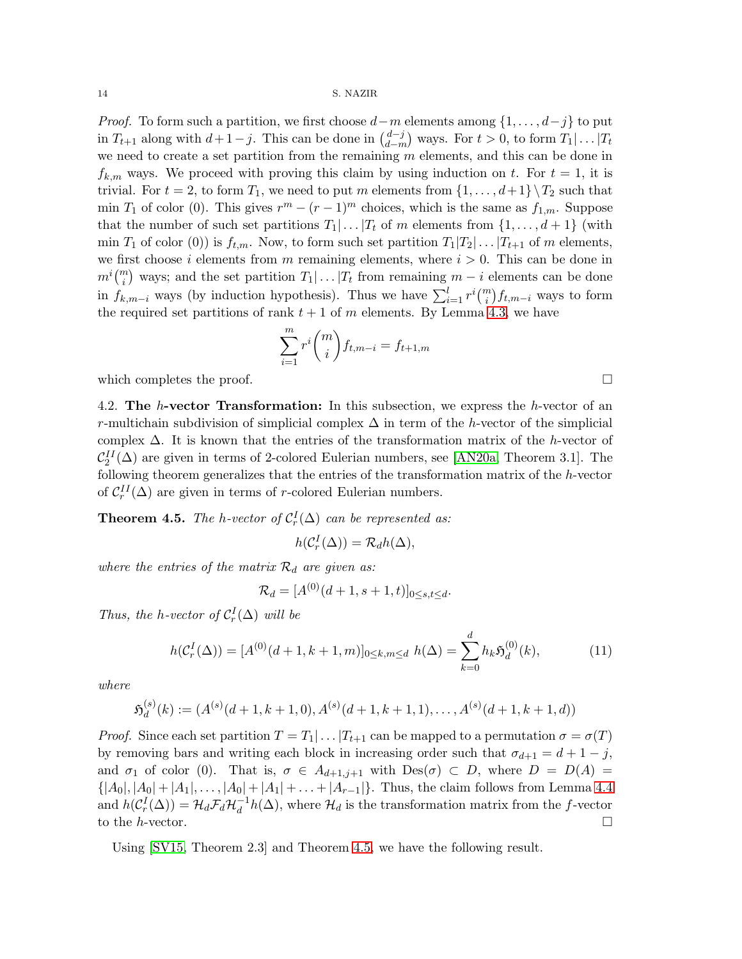*Proof.* To form such a partition, we first choose  $d-m$  elements among  $\{1, \ldots, d-j\}$  to put in  $T_{t+1}$  along with  $d+1-j$ . This can be done in  $\binom{d-j}{d-m}$  $\binom{d-j}{d-m}$  ways. For  $t > 0$ , to form  $T_1 | \dots | T_t$ we need to create a set partition from the remaining  $m$  elements, and this can be done in  $f_{k,m}$  ways. We proceed with proving this claim by using induction on t. For  $t = 1$ , it is trivial. For  $t = 2$ , to form  $T_1$ , we need to put m elements from  $\{1, \ldots, d+1\} \setminus T_2$  such that min  $T_1$  of color (0). This gives  $r^m - (r - 1)^m$  choices, which is the same as  $f_{1,m}$ . Suppose that the number of such set partitions  $T_1 | \dots | T_t$  of m elements from  $\{1, \dots, d+1\}$  (with min  $T_1$  of color (0)) is  $f_{t,m}$ . Now, to form such set partition  $T_1|T_2|\ldots|T_{t+1}$  of m elements, we first choose i elements from m remaining elements, where  $i > 0$ . This can be done in  $m^i\binom{m}{i}$  ways; and the set partition  $T_1|\ldots|T_t$  from remaining  $m-i$  elements can be done in  $f_{k,m-i}$  ways (by induction hypothesis). Thus we have  $\sum_{i=1}^{l} r^{i} \binom{m}{i} f_{t,m-i}$  ways to form the required set partitions of rank  $t + 1$  of m elements. By Lemma [4.3,](#page-12-1) we have

$$
\sum_{i=1}^m r^i \binom{m}{i} f_{t,m-i} = f_{t+1,m}
$$

which completes the proof.  $\Box$ 

4.2. The h-vector Transformation: In this subsection, we express the h-vector of an r-multichain subdivision of simplicial complex  $\Delta$  in term of the h-vector of the simplicial complex  $\Delta$ . It is known that the entries of the transformation matrix of the h-vector of  $\mathcal{C}_2^{II}(\Delta)$  are given in terms of 2-colored Eulerian numbers, see [\[AN20a,](#page-17-0) Theorem 3.1]. The following theorem generalizes that the entries of the transformation matrix of the h-vector of  $C_r^{II}(\Delta)$  are given in terms of r-colored Eulerian numbers.

<span id="page-13-0"></span>**Theorem 4.5.** *The h-vector of*  $C_r^I(\Delta)$  *can be represented as:* 

$$
h(\mathcal{C}_r^I(\Delta)) = \mathcal{R}_d h(\Delta),
$$

where the entries of the matrix  $\mathcal{R}_d$  are given as:

$$
\mathcal{R}_d = [A^{(0)}(d+1, s+1, t)]_{0 \le s, t \le d}.
$$

*Thus, the h-vector of*  $C_r^I(\Delta)$  *will be* 

$$
h(C_r^I(\Delta)) = [A^{(0)}(d+1, k+1, m)]_{0 \le k, m \le d} \ h(\Delta) = \sum_{k=0}^d h_k \mathfrak{H}_d^{(0)}(k), \tag{11}
$$

*where*

$$
\mathfrak{H}_d^{(s)}(k) := (A^{(s)}(d+1,k+1,0), A^{(s)}(d+1,k+1,1), \dots, A^{(s)}(d+1,k+1,d))
$$

*Proof.* Since each set partition  $T = T_1 | \dots | T_{t+1}$  can be mapped to a permutation  $\sigma = \sigma(T)$ by removing bars and writing each block in increasing order such that  $\sigma_{d+1} = d+1-j$ , and  $\sigma_1$  of color (0). That is,  $\sigma \in A_{d+1,j+1}$  with  $Des(\sigma) \subset D$ , where  $D = D(A)$  $\{|A_0|, |A_0|+|A_1|, \ldots, |A_0|+|A_1|+\ldots+|A_{r-1}|\}.$  Thus, the claim follows from Lemma [4.4](#page-12-2) and  $h(C_r^I(\Delta)) = \mathcal{H}_d \mathcal{F}_d \mathcal{H}_d^{-1} h(\Delta)$ , where  $\mathcal{H}_d$  is the transformation matrix from the f-vector to the *h*-vector.  $\Box$ 

Using [\[SV15,](#page-18-5) Theorem 2.3] and Theorem [4.5,](#page-13-0) we have the following result.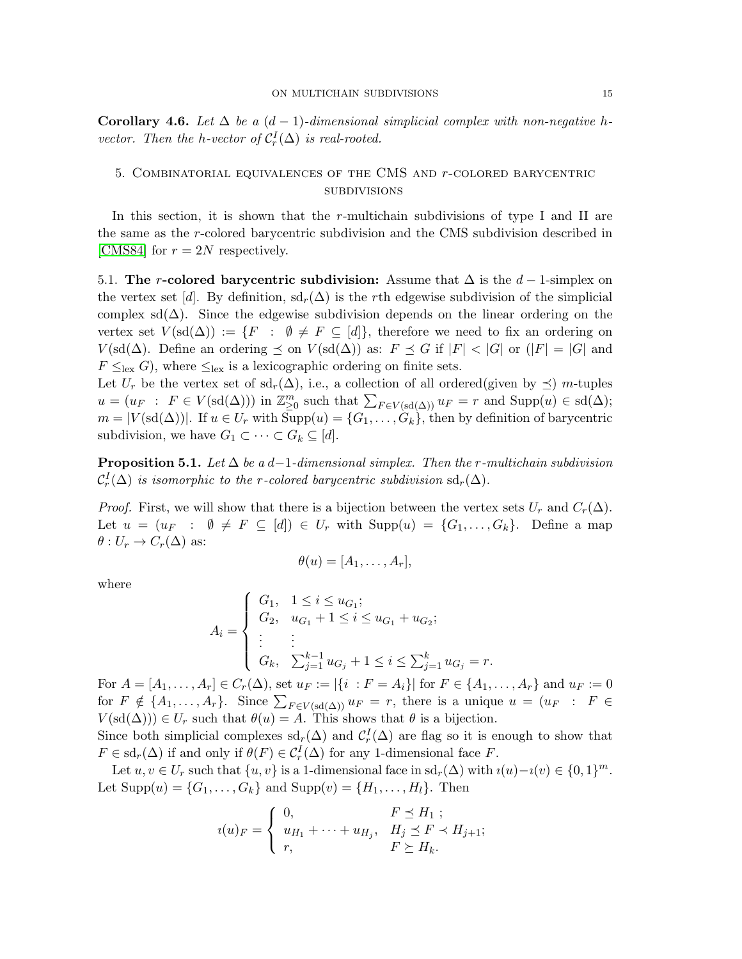Corollary 4.6. Let  $\Delta$  be a  $(d-1)$ -dimensional simplicial complex with non-negative h*vector. Then the h-vector of*  $C_r^I(\Delta)$  *is real-rooted.* 

# 5. Combinatorial equivalences of the CMS and r-colored barycentric **SUBDIVISIONS**

In this section, it is shown that the  $r$ -multichain subdivisions of type I and II are the same as the r-colored barycentric subdivision and the CMS subdivision described in [\[CMS84\]](#page-18-7) for  $r = 2N$  respectively.

5.1. The r-colored barycentric subdivision: Assume that  $\Delta$  is the  $d-1$ -simplex on the vertex set [d]. By definition,  $sd_r(\Delta)$  is the rth edgewise subdivision of the simplicial complex sd( $\Delta$ ). Since the edgewise subdivision depends on the linear ordering on the vertex set  $V(\text{sd}(\Delta)) := \{F : \emptyset \neq F \subseteq [d]\},\$  therefore we need to fix an ordering on  $V(\text{sd}(\Delta))$ . Define an ordering  $\preceq$  on  $V(\text{sd}(\Delta))$  as:  $F \preceq G$  if  $|F| < |G|$  or  $(|F| = |G|$  and  $F \leq_{\text{lex}} G$ , where  $\leq_{\text{lex}}$  is a lexicographic ordering on finite sets.

Let  $U_r$  be the vertex set of sd<sub>r</sub>( $\Delta$ ), i.e., a collection of all ordered(given by  $\preceq$ ) m-tuples  $u = (u_F : F \in V(\text{sd}(\Delta)))$  in  $\mathbb{Z}_{\geq 0}^m$  such that  $\sum_{F \in V(\text{sd}(\Delta))} u_F = r$  and  $\text{Supp}(u) \in \text{sd}(\Delta)$ ;  $m = |V(\text{sd}(\Delta))|$ . If  $u \in U_r$  with  $\text{Supp}(u) = \{G_1, \ldots, G_k\}$ , then by definition of barycentric subdivision, we have  $G_1 \subset \cdots \subset G_k \subseteq [d]$ .

Proposition 5.1. *Let* ∆ *be a* d−1*-dimensional simplex. Then the* r*-multichain subdivision*  $\mathcal{C}_r^I(\Delta)$  *is isomorphic to the r-colored barycentric subdivision* sd<sub>r</sub>( $\Delta$ ).

*Proof.* First, we will show that there is a bijection between the vertex sets  $U_r$  and  $C_r(\Delta)$ . Let  $u = (u_F : \emptyset \neq F \subseteq [d]) \in U_r$  with  $\text{Supp}(u) = \{G_1, \ldots, G_k\}$ . Define a map  $\theta: U_r \to C_r(\Delta)$  as:

$$
\theta(u)=[A_1,\ldots,A_r],
$$

where

$$
A_i = \begin{cases} G_1, & 1 \le i \le u_{G_1}; \\ G_2, & u_{G_1} + 1 \le i \le u_{G_1} + u_{G_2}; \\ \vdots & \vdots \\ G_k, & \sum_{j=1}^{k-1} u_{G_j} + 1 \le i \le \sum_{j=1}^k u_{G_j} = \end{cases}
$$

For  $A = [A_1, \ldots, A_r] \in C_r(\Delta)$ , set  $u_F := |\{i : F = A_i\}|$  for  $F \in \{A_1, \ldots, A_r\}$  and  $u_F := 0$ for  $F \notin \{A_1, \ldots, A_r\}$ . Since  $\sum_{F \in V(\text{sd}(\Delta))} u_F = r$ , there is a unique  $u = (u_F : F \in$  $V(\text{sd}(\Delta))) \in U_r$  such that  $\theta(u) = A$ . This shows that  $\theta$  is a bijection.

 $r$ .

Since both simplicial complexes  $\mathrm{sd}_r(\Delta)$  and  $\mathcal{C}_r^I(\Delta)$  are flag so it is enough to show that  $F \in \mathrm{sd}_r(\Delta)$  if and only if  $\theta(F) \in C_r^I(\Delta)$  for any 1-dimensional face F.

Let  $u, v \in U_r$  such that  $\{u, v\}$  is a 1-dimensional face in  $\mathrm{sd}_r(\Delta)$  with  $i(u)-i(v) \in \{0, 1\}^m$ . Let  $\text{Supp}(u) = \{G_1, ..., G_k\}$  and  $\text{Supp}(v) = \{H_1, ..., H_l\}$ . Then

$$
u(u)_{F} = \begin{cases} 0, & F \leq H_1 ; \\ u_{H_1} + \dots + u_{H_j}, & H_j \leq F \prec H_{j+1}; \\ r, & F \geq H_k. \end{cases}
$$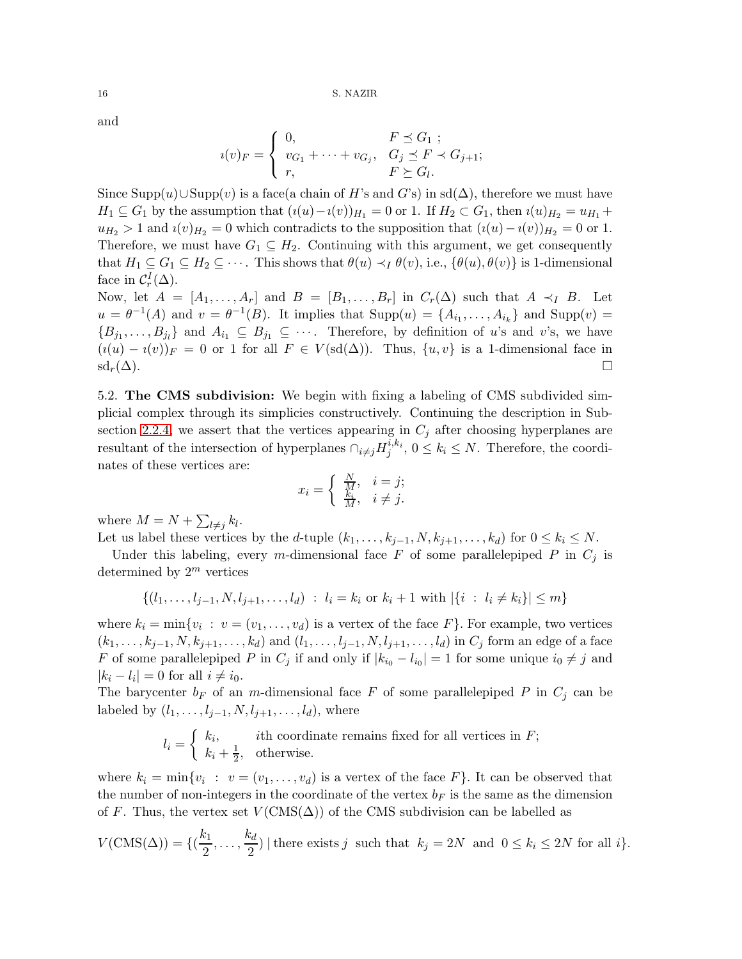and

$$
u(v)_{F} = \begin{cases} 0, & F \leq G_1 ; \\ v_{G_1} + \cdots + v_{G_j}, & G_j \leq F \prec G_{j+1}; \\ r, & F \succeq G_l. \end{cases}
$$

Since Supp(u)∪Supp(v) is a face(a chain of H's and G's) in sd( $\Delta$ ), therefore we must have  $H_1 \subseteq G_1$  by the assumption that  $(i(u)-i(v))_{H_1} = 0$  or 1. If  $H_2 \subset G_1$ , then  $i(u)_{H_2} = u_{H_1} +$  $u_{H_2} > 1$  and  $i(v)_{H_2} = 0$  which contradicts to the supposition that  $(i(u) - i(v))_{H_2} = 0$  or 1. Therefore, we must have  $G_1 \subseteq H_2$ . Continuing with this argument, we get consequently that  $H_1 \subseteq G_1 \subseteq H_2 \subseteq \cdots$ . This shows that  $\theta(u) \prec_I \theta(v)$ , i.e.,  $\{\theta(u), \theta(v)\}\$ is 1-dimensional face in  $\mathcal{C}_r^I(\Delta)$ .

Now, let  $A = [A_1, \ldots, A_r]$  and  $B = [B_1, \ldots, B_r]$  in  $C_r(\Delta)$  such that  $A \prec_I B$ . Let  $u = \theta^{-1}(A)$  and  $v = \theta^{-1}(B)$ . It implies that  $\text{Supp}(u) = \{A_{i_1}, \ldots, A_{i_k}\}\$ and  $\text{Supp}(v) =$  $\{B_{j_1},\ldots,B_{j_l}\}\$ and  $A_{i_1}\subseteq B_{j_1}\subseteq\cdots$ . Therefore, by definition of u's and v's, we have  $(i(u) - i(v))_F = 0$  or 1 for all  $F \in V(\text{sd}(\Delta))$ . Thus,  $\{u, v\}$  is a 1-dimensional face in  $\mathrm{sd}_r(\Delta).$ 

<span id="page-15-0"></span>5.2. The CMS subdivision: We begin with fixing a labeling of CMS subdivided simplicial complex through its simplicies constructively. Continuing the description in Sub-section [2.2.4,](#page-4-0) we assert that the vertices appearing in  $C_i$  after choosing hyperplanes are resultant of the intersection of hyperplanes  $\bigcap_{i\neq j} H_j^{i,k_i}, 0 \leq k_i \leq N$ . Therefore, the coordinates of these vertices are:

$$
x_i = \begin{cases} \frac{N}{M}, & i = j; \\ \frac{k_i}{M}, & i \neq j. \end{cases}
$$

where  $M = N + \sum_{l \neq j} k_l$ .

Let us label these vertices by the d-tuple  $(k_1, \ldots, k_{j-1}, N, k_{j+1}, \ldots, k_d)$  for  $0 \leq k_i \leq N$ .

Under this labeling, every m-dimensional face F of some parallelepiped P in  $C_j$  is determined by  $2^m$  vertices

$$
\{(l_1, \ldots, l_{j-1}, N, l_{j+1}, \ldots, l_d) : l_i = k_i \text{ or } k_i + 1 \text{ with } |\{i : l_i \neq k_i\}| \leq m\}
$$

where  $k_i = \min\{v_i : v = (v_1, \ldots, v_d)\}$  is a vertex of the face  $F\}$ . For example, two vertices  $(k_1, ..., k_{j-1}, N, k_{j+1}, ..., k_d)$  and  $(l_1, ..., l_{j-1}, N, l_{j+1}, ..., l_d)$  in  $C_j$  form an edge of a face F of some parallelepiped P in  $C_j$  if and only if  $|k_{i_0} - l_{i_0}| = 1$  for some unique  $i_0 \neq j$  and  $|k_i - l_i| = 0$  for all  $i \neq i_0$ .

The barycenter  $b_F$  of an m-dimensional face F of some parallelepiped P in  $C_i$  can be labeled by  $(l_1, \ldots, l_{j-1}, N, l_{j+1}, \ldots, l_d)$ , where

$$
l_i = \begin{cases} k_i, & \text{ith coordinate remains fixed for all vertices in } F; \\ k_i + \frac{1}{2}, & \text{otherwise.} \end{cases}
$$

where  $k_i = \min\{v_i : v = (v_1, \ldots, v_d) \text{ is a vertex of the face } F\}.$  It can be observed that the number of non-integers in the coordinate of the vertex  $b_F$  is the same as the dimension of F. Thus, the vertex set  $V(\text{CMS}(\Delta))$  of the CMS subdivision can be labelled as

$$
V(\text{CMS}(\Delta)) = \{(\frac{k_1}{2}, \dots, \frac{k_d}{2}) \mid \text{there exists } j \text{ such that } k_j = 2N \text{ and } 0 \le k_i \le 2N \text{ for all } i\}.
$$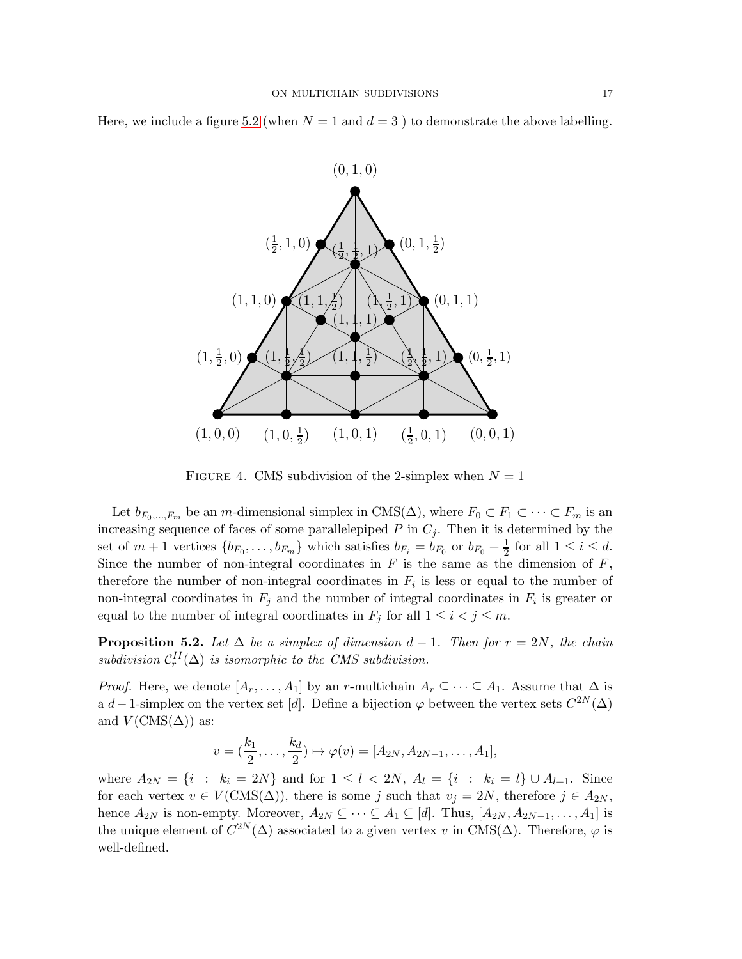Here, we include a figure [5.2](#page-15-0) (when  $N = 1$  and  $d = 3$ ) to demonstrate the above labelling.



FIGURE 4. CMS subdivision of the 2-simplex when  $N = 1$ 

Let  $b_{F_0,\dots,F_m}$  be an m-dimensional simplex in CMS( $\Delta$ ), where  $F_0 \subset F_1 \subset \cdots \subset F_m$  is an increasing sequence of faces of some parallelepiped  $P$  in  $C_j$ . Then it is determined by the set of  $m+1$  vertices  $\{b_{F_0}, \ldots, b_{F_m}\}\$  which satisfies  $b_{F_i} = b_{F_0}$  or  $b_{F_0} + \frac{1}{2}$  for all  $1 \leq i \leq d$ . Since the number of non-integral coordinates in  $F$  is the same as the dimension of  $F$ , therefore the number of non-integral coordinates in  $F_i$  is less or equal to the number of non-integral coordinates in  $F_j$  and the number of integral coordinates in  $F_i$  is greater or equal to the number of integral coordinates in  $F_j$  for all  $1 \leq i < j \leq m$ .

**Proposition 5.2.** Let  $\Delta$  be a simplex of dimension  $d-1$ . Then for  $r = 2N$ , the chain  $subdivision C<sub>r</sub><sup>II</sup>(\Delta)$  *is isomorphic to the CMS subdivision.* 

*Proof.* Here, we denote  $[A_r, \ldots, A_1]$  by an r-multichain  $A_r \subseteq \cdots \subseteq A_1$ . Assume that  $\Delta$  is a d – 1-simplex on the vertex set [d]. Define a bijection  $\varphi$  between the vertex sets  $C^{2N}(\Delta)$ and  $V(\text{CMS}(\Delta))$  as:

$$
v = (\frac{k_1}{2}, \dots, \frac{k_d}{2}) \mapsto \varphi(v) = [A_{2N}, A_{2N-1}, \dots, A_1],
$$

where  $A_{2N} = \{i : k_i = 2N\}$  and for  $1 \leq l < 2N$ ,  $A_l = \{i : k_i = l\} \cup A_{l+1}$ . Since for each vertex  $v \in V(\text{CMS}(\Delta))$ , there is some j such that  $v_j = 2N$ , therefore  $j \in A_{2N}$ , hence  $A_{2N}$  is non-empty. Moreover,  $A_{2N} \subseteq \cdots \subseteq A_1 \subseteq [d]$ . Thus,  $[A_{2N}, A_{2N-1}, \ldots, A_1]$  is the unique element of  $C^{2N}(\Delta)$  associated to a given vertex v in CMS( $\Delta$ ). Therefore,  $\varphi$  is well-defined.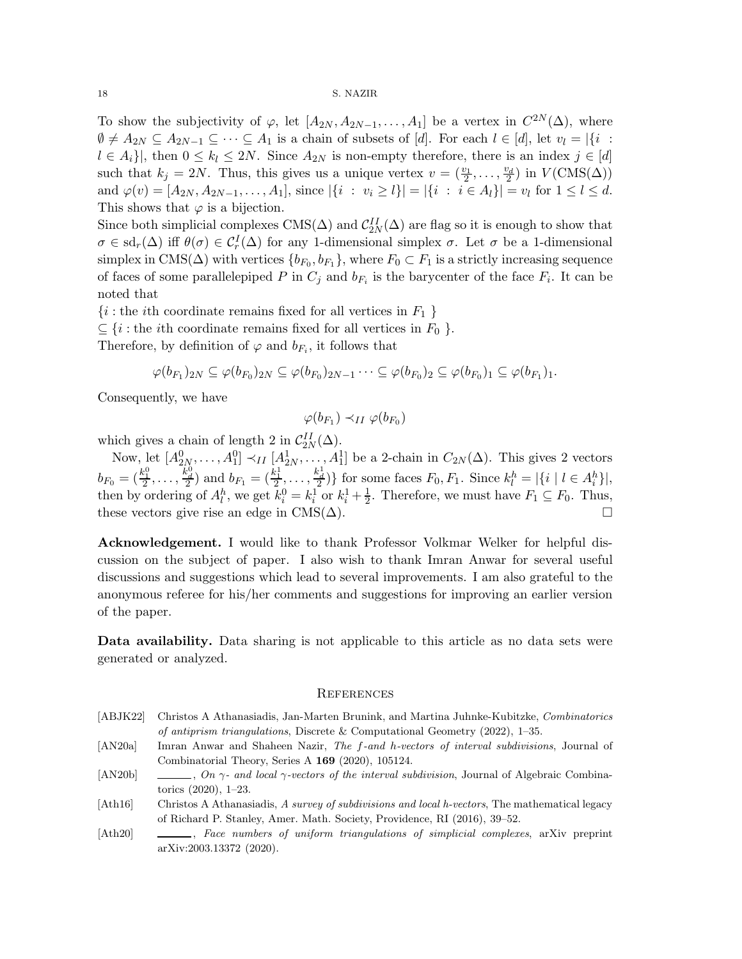To show the subjectivity of  $\varphi$ , let  $[A_{2N}, A_{2N-1},..., A_1]$  be a vertex in  $C^{2N}(\Delta)$ , where  $\emptyset \neq A_{2N} \subseteq A_{2N-1} \subseteq \cdots \subseteq A_1$  is a chain of subsets of [d]. For each  $l \in [d]$ , let  $v_l = |\{i :$  $l \in A_i$ , then  $0 \leq k_l \leq 2N$ . Since  $A_{2N}$  is non-empty therefore, there is an index  $j \in [d]$ such that  $k_j = 2N$ . Thus, this gives us a unique vertex  $v = (\frac{v_1}{2}, \dots, \frac{v_d}{2})$  in  $V(\text{CMS}(\Delta))$ and  $\varphi(v) = [A_{2N}, A_{2N-1}, \dots, A_1],$  since  $|\{i : v_i \geq l\}| = |\{i : i \in A_l\}| = v_l$  for  $1 \leq l \leq d$ . This shows that  $\varphi$  is a bijection.

Since both simplicial complexes CMS( $\Delta$ ) and  $\mathcal{C}_{2N}^{II}(\Delta)$  are flag so it is enough to show that  $\sigma \in \text{sd}_r(\Delta)$  iff  $\theta(\sigma) \in C_r^I(\Delta)$  for any 1-dimensional simplex  $\sigma$ . Let  $\sigma$  be a 1-dimensional simplex in CMS( $\Delta$ ) with vertices  $\{b_{F_0}, b_{F_1}\}$ , where  $F_0 \subset F_1$  is a strictly increasing sequence of faces of some parallelepiped P in  $C_j$  and  $b_{F_i}$  is the barycenter of the face  $F_i$ . It can be noted that

 $\{i : \text{the } i \text{th coordinate remains fixed for all vertices in } F_1 \}$ 

 $\subseteq$  {*i* : the *i*th coordinate remains fixed for all vertices in  $F_0$  }.

Therefore, by definition of  $\varphi$  and  $b_{F_i}$ , it follows that

$$
\varphi(b_{F_1})_{2N} \subseteq \varphi(b_{F_0})_{2N} \subseteq \varphi(b_{F_0})_{2N-1} \cdots \subseteq \varphi(b_{F_0})_2 \subseteq \varphi(b_{F_0})_1 \subseteq \varphi(b_{F_1})_1.
$$

Consequently, we have

$$
\varphi(b_{F_1}) \prec_{II} \varphi(b_{F_0})
$$

which gives a chain of length 2 in  $C_{2N}^{II}(\Delta)$ .

Now, let  $[A_{2N}^0, \ldots, A_1^0] \prec_{II} [A_{2N}^1, \ldots, A_1^1]$  be a 2-chain in  $C_{2N}(\Delta)$ . This gives 2 vectors  $b_{F_0} = (\frac{k_1^0}{2}, \ldots, \frac{k_d^0}{2})$  and  $b_{F_1} = (\frac{k_1^1}{2}, \ldots, \frac{k_d^1}{2})\}$  for some faces  $F_0, F_1$ . Since  $k_l^h = |\{i \mid l \in A_i^h\}|$ , then by ordering of  $A_l^h$ , we get  $k_i^0 = k_i^1$  or  $k_i^1 + \frac{1}{2}$  $\frac{1}{2}$ . Therefore, we must have  $F_1 \subseteq F_0$ . Thus, these vectors give rise an edge in  $CMS(\Delta)$ .

Acknowledgement. I would like to thank Professor Volkmar Welker for helpful discussion on the subject of paper. I also wish to thank Imran Anwar for several useful discussions and suggestions which lead to several improvements. I am also grateful to the anonymous referee for his/her comments and suggestions for improving an earlier version of the paper.

Data availability. Data sharing is not applicable to this article as no data sets were generated or analyzed.

## **REFERENCES**

- <span id="page-17-1"></span>[ABJK22] Christos A Athanasiadis, Jan-Marten Brunink, and Martina Juhnke-Kubitzke, Combinatorics of antiprism triangulations, Discrete & Computational Geometry (2022), 1–35.
- <span id="page-17-0"></span>[AN20a] Imran Anwar and Shaheen Nazir, The f-and h-vectors of interval subdivisions, Journal of Combinatorial Theory, Series A 169 (2020), 105124.
- <span id="page-17-4"></span>[AN20b] , On  $\gamma$ - and local  $\gamma$ -vectors of the interval subdivision, Journal of Algebraic Combinatorics (2020), 1–23.
- <span id="page-17-3"></span>[Ath16] Christos A Athanasiadis, A survey of subdivisions and local h-vectors, The mathematical legacy of Richard P. Stanley, Amer. Math. Society, Providence, RI (2016), 39–52.
- <span id="page-17-2"></span>[Ath20]  $\qquad \qquad \qquad$  Face numbers of uniform triangulations of simplicial complexes, arXiv preprint arXiv:2003.13372 (2020).